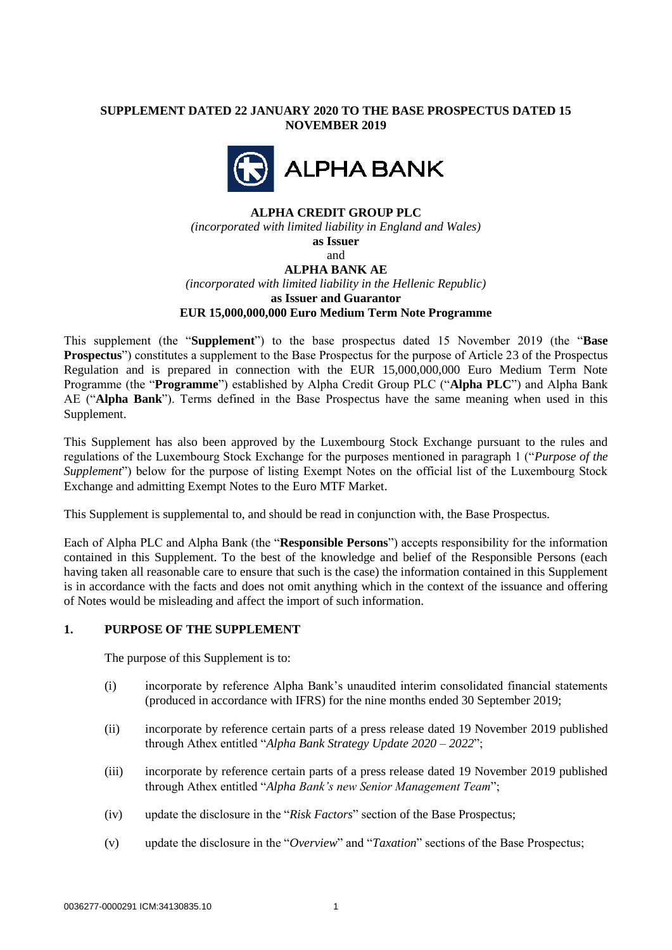# **SUPPLEMENT DATED 22 JANUARY 2020 TO THE BASE PROSPECTUS DATED 15 NOVEMBER 2019**



## **ALPHA CREDIT GROUP PLC**

*(incorporated with limited liability in England and Wales)* **as Issuer**

and

## **ALPHA BANK AE**

*(incorporated with limited liability in the Hellenic Republic)* **as Issuer and Guarantor**

**EUR 15,000,000,000 Euro Medium Term Note Programme**

This supplement (the "**Supplement**") to the base prospectus dated 15 November 2019 (the "**Base Prospectus**") constitutes a supplement to the Base Prospectus for the purpose of Article 23 of the Prospectus Regulation and is prepared in connection with the EUR 15,000,000,000 Euro Medium Term Note Programme (the "**Programme**") established by Alpha Credit Group PLC ("**Alpha PLC**") and Alpha Bank AE ("**Alpha Bank**"). Terms defined in the Base Prospectus have the same meaning when used in this Supplement.

This Supplement has also been approved by the Luxembourg Stock Exchange pursuant to the rules and regulations of the Luxembourg Stock Exchange for the purposes mentioned in paragraph 1 ("*Purpose of the Supplement*") below for the purpose of listing Exempt Notes on the official list of the Luxembourg Stock Exchange and admitting Exempt Notes to the Euro MTF Market.

This Supplement is supplemental to, and should be read in conjunction with, the Base Prospectus.

Each of Alpha PLC and Alpha Bank (the "**Responsible Persons**") accepts responsibility for the information contained in this Supplement. To the best of the knowledge and belief of the Responsible Persons (each having taken all reasonable care to ensure that such is the case) the information contained in this Supplement is in accordance with the facts and does not omit anything which in the context of the issuance and offering of Notes would be misleading and affect the import of such information.

## **1. PURPOSE OF THE SUPPLEMENT**

The purpose of this Supplement is to:

- (i) incorporate by reference Alpha Bank's unaudited interim consolidated financial statements (produced in accordance with IFRS) for the nine months ended 30 September 2019;
- (ii) incorporate by reference certain parts of a press release dated 19 November 2019 published through Athex entitled "*Alpha Bank Strategy Update 2020 – 2022*";
- (iii) incorporate by reference certain parts of a press release dated 19 November 2019 published through Athex entitled "*Alpha Bank's new Senior Management Team*";
- (iv) update the disclosure in the "*Risk Factors*" section of the Base Prospectus;
- (v) update the disclosure in the "*Overview*" and "*Taxation*" sections of the Base Prospectus;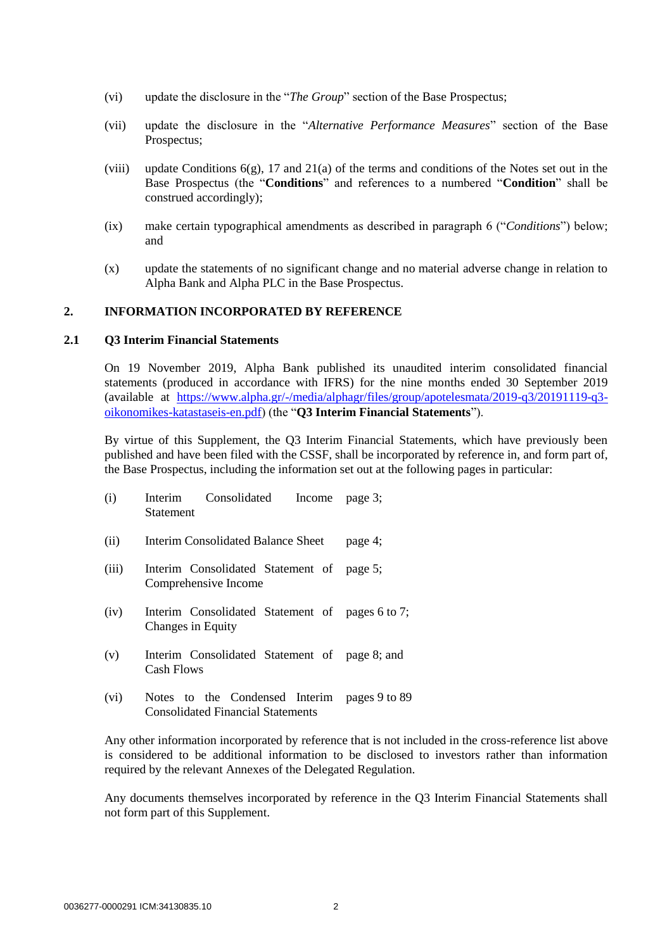- (vi) update the disclosure in the "*The Group*" section of the Base Prospectus;
- (vii) update the disclosure in the "*Alternative Performance Measures*" section of the Base Prospectus;
- (viii) update Conditions  $6(g)$ , 17 and 21(a) of the terms and conditions of the Notes set out in the Base Prospectus (the "**Conditions**" and references to a numbered "**Condition**" shall be construed accordingly);
- (ix) make certain typographical amendments as described in paragraph 6 ("*Conditions*") below; and
- (x) update the statements of no significant change and no material adverse change in relation to Alpha Bank and Alpha PLC in the Base Prospectus.

#### **2. INFORMATION INCORPORATED BY REFERENCE**

#### **2.1 Q3 Interim Financial Statements**

On 19 November 2019, Alpha Bank published its unaudited interim consolidated financial statements (produced in accordance with IFRS) for the nine months ended 30 September 2019 (available at [https://www.alpha.gr/-/media/alphagr/files/group/apotelesmata/2019-q3/20191119-q3](https://www.alpha.gr/-/media/alphagr/files/group/apotelesmata/2019-q3/20191119-q3-oikonomikes-katastaseis-en.pdf) [oikonomikes-katastaseis-en.pdf\)](https://www.alpha.gr/-/media/alphagr/files/group/apotelesmata/2019-q3/20191119-q3-oikonomikes-katastaseis-en.pdf) (the "**Q3 Interim Financial Statements**").

By virtue of this Supplement, the Q3 Interim Financial Statements, which have previously been published and have been filed with the CSSF, shall be incorporated by reference in, and form part of, the Base Prospectus, including the information set out at the following pages in particular:

| (i)                       | Interim Consolidated Income<br>Statement                             | page 3; |
|---------------------------|----------------------------------------------------------------------|---------|
| (ii)                      | Interim Consolidated Balance Sheet                                   | page 4; |
| (iii)                     | Interim Consolidated Statement of page 5;<br>Comprehensive Income    |         |
| (iv)                      | Interim Consolidated Statement of pages 6 to 7;<br>Changes in Equity |         |
| (v)                       | Interim Consolidated Statement of page 8; and<br><b>Cash Flows</b>   |         |
| $(\overline{\mathbf{u}})$ | Notes to the Condensed Interim $\frac{1}{2}$ peggs 0 to 80           |         |

(vi) Notes to the Condensed Interim pages 9 to 89 Consolidated Financial Statements

Any other information incorporated by reference that is not included in the cross-reference list above is considered to be additional information to be disclosed to investors rather than information required by the relevant Annexes of the Delegated Regulation.

Any documents themselves incorporated by reference in the Q3 Interim Financial Statements shall not form part of this Supplement.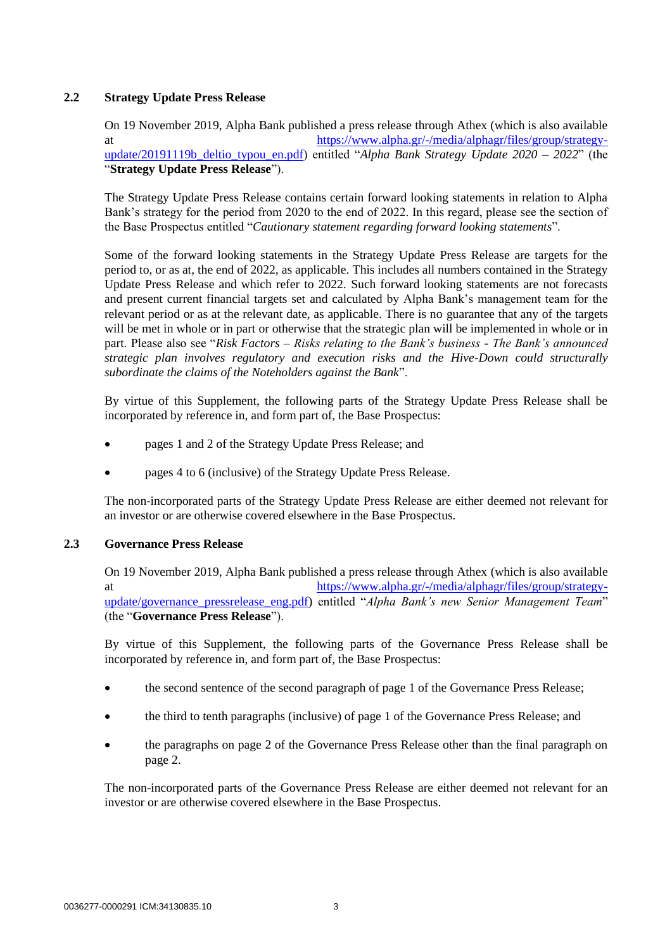# **2.2 Strategy Update Press Release**

On 19 November 2019, Alpha Bank published a press release through Athex (which is also available at [https://www.alpha.gr/-/media/alphagr/files/group/strategy](https://www.alpha.gr/-/media/alphagr/files/group/strategy-update/20191119b_deltio_typou_en.pdf)[update/20191119b\\_deltio\\_typou\\_en.pdf\)](https://www.alpha.gr/-/media/alphagr/files/group/strategy-update/20191119b_deltio_typou_en.pdf) entitled "*Alpha Bank Strategy Update 2020 – 2022*" (the "**Strategy Update Press Release**").

The Strategy Update Press Release contains certain forward looking statements in relation to Alpha Bank's strategy for the period from 2020 to the end of 2022. In this regard, please see the section of the Base Prospectus entitled "*Cautionary statement regarding forward looking statements*".

Some of the forward looking statements in the Strategy Update Press Release are targets for the period to, or as at, the end of 2022, as applicable. This includes all numbers contained in the Strategy Update Press Release and which refer to 2022. Such forward looking statements are not forecasts and present current financial targets set and calculated by Alpha Bank's management team for the relevant period or as at the relevant date, as applicable. There is no guarantee that any of the targets will be met in whole or in part or otherwise that the strategic plan will be implemented in whole or in part. Please also see "*Risk Factors – Risks relating to the Bank's business - The Bank's announced strategic plan involves regulatory and execution risks and the Hive-Down could structurally subordinate the claims of the Noteholders against the Bank*".

By virtue of this Supplement, the following parts of the Strategy Update Press Release shall be incorporated by reference in, and form part of, the Base Prospectus:

- pages 1 and 2 of the Strategy Update Press Release; and
- pages 4 to 6 (inclusive) of the Strategy Update Press Release.

The non-incorporated parts of the Strategy Update Press Release are either deemed not relevant for an investor or are otherwise covered elsewhere in the Base Prospectus.

## **2.3 Governance Press Release**

On 19 November 2019, Alpha Bank published a press release through Athex (which is also available at [https://www.alpha.gr/-/media/alphagr/files/group/strategy](https://www.alpha.gr/-/media/alphagr/files/group/strategy-update/governance_pressrelease_eng.pdf)[update/governance\\_pressrelease\\_eng.pdf\)](https://www.alpha.gr/-/media/alphagr/files/group/strategy-update/governance_pressrelease_eng.pdf) entitled "*Alpha Bank's new Senior Management Team*" (the "**Governance Press Release**").

By virtue of this Supplement, the following parts of the Governance Press Release shall be incorporated by reference in, and form part of, the Base Prospectus:

- the second sentence of the second paragraph of page 1 of the Governance Press Release;
- the third to tenth paragraphs (inclusive) of page 1 of the Governance Press Release; and
- the paragraphs on page 2 of the Governance Press Release other than the final paragraph on page 2.

The non-incorporated parts of the Governance Press Release are either deemed not relevant for an investor or are otherwise covered elsewhere in the Base Prospectus.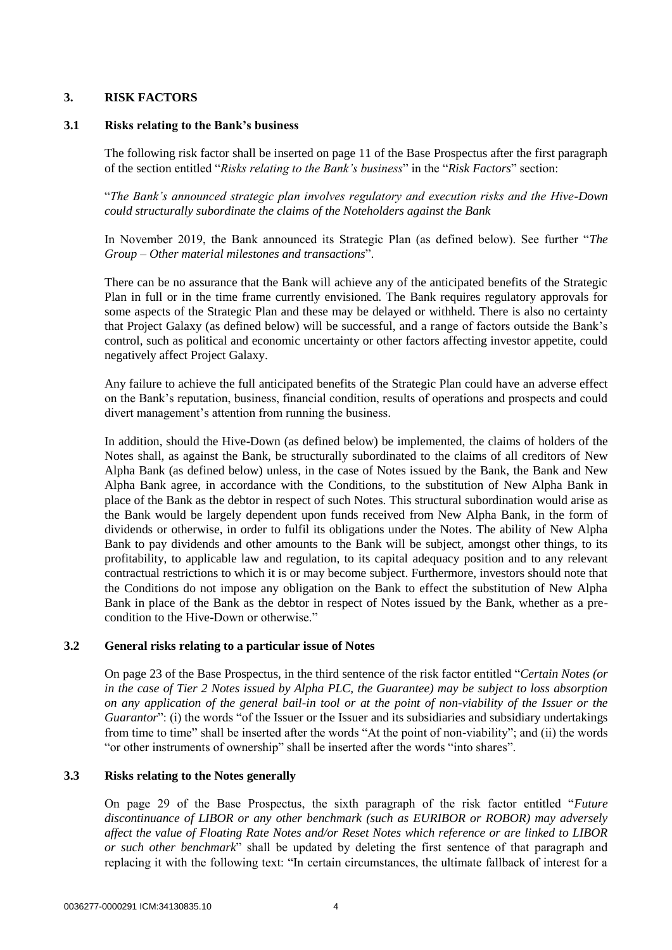# **3. RISK FACTORS**

## **3.1 Risks relating to the Bank's business**

The following risk factor shall be inserted on page 11 of the Base Prospectus after the first paragraph of the section entitled "*Risks relating to the Bank's business*" in the "*Risk Factors*" section:

"*The Bank's announced strategic plan involves regulatory and execution risks and the Hive-Down could structurally subordinate the claims of the Noteholders against the Bank*

In November 2019, the Bank announced its Strategic Plan (as defined below). See further "*The Group – Other material milestones and transactions*".

There can be no assurance that the Bank will achieve any of the anticipated benefits of the Strategic Plan in full or in the time frame currently envisioned. The Bank requires regulatory approvals for some aspects of the Strategic Plan and these may be delayed or withheld. There is also no certainty that Project Galaxy (as defined below) will be successful, and a range of factors outside the Bank's control, such as political and economic uncertainty or other factors affecting investor appetite, could negatively affect Project Galaxy.

Any failure to achieve the full anticipated benefits of the Strategic Plan could have an adverse effect on the Bank's reputation, business, financial condition, results of operations and prospects and could divert management's attention from running the business.

In addition, should the Hive-Down (as defined below) be implemented, the claims of holders of the Notes shall, as against the Bank, be structurally subordinated to the claims of all creditors of New Alpha Bank (as defined below) unless, in the case of Notes issued by the Bank, the Bank and New Alpha Bank agree, in accordance with the Conditions, to the substitution of New Alpha Bank in place of the Bank as the debtor in respect of such Notes. This structural subordination would arise as the Bank would be largely dependent upon funds received from New Alpha Bank, in the form of dividends or otherwise, in order to fulfil its obligations under the Notes. The ability of New Alpha Bank to pay dividends and other amounts to the Bank will be subject, amongst other things, to its profitability, to applicable law and regulation, to its capital adequacy position and to any relevant contractual restrictions to which it is or may become subject. Furthermore, investors should note that the Conditions do not impose any obligation on the Bank to effect the substitution of New Alpha Bank in place of the Bank as the debtor in respect of Notes issued by the Bank, whether as a precondition to the Hive-Down or otherwise."

## **3.2 General risks relating to a particular issue of Notes**

On page 23 of the Base Prospectus, in the third sentence of the risk factor entitled "*Certain Notes (or in the case of Tier 2 Notes issued by Alpha PLC, the Guarantee) may be subject to loss absorption on any application of the general bail-in tool or at the point of non-viability of the Issuer or the Guarantor*": (i) the words "of the Issuer or the Issuer and its subsidiaries and subsidiary undertakings from time to time" shall be inserted after the words "At the point of non-viability"; and (ii) the words "or other instruments of ownership" shall be inserted after the words "into shares".

## **3.3 Risks relating to the Notes generally**

On page 29 of the Base Prospectus, the sixth paragraph of the risk factor entitled "*Future discontinuance of LIBOR or any other benchmark (such as EURIBOR or ROBOR) may adversely affect the value of Floating Rate Notes and/or Reset Notes which reference or are linked to LIBOR or such other benchmark*" shall be updated by deleting the first sentence of that paragraph and replacing it with the following text: "In certain circumstances, the ultimate fallback of interest for a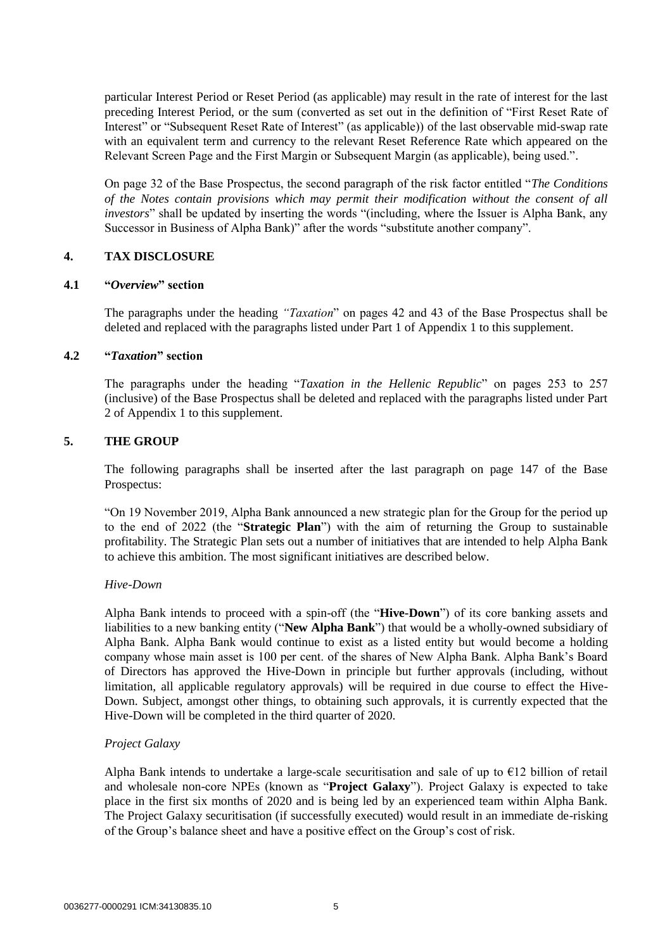particular Interest Period or Reset Period (as applicable) may result in the rate of interest for the last preceding Interest Period, or the sum (converted as set out in the definition of "First Reset Rate of Interest" or "Subsequent Reset Rate of Interest" (as applicable)) of the last observable mid-swap rate with an equivalent term and currency to the relevant Reset Reference Rate which appeared on the Relevant Screen Page and the First Margin or Subsequent Margin (as applicable), being used.".

On page 32 of the Base Prospectus, the second paragraph of the risk factor entitled "*The Conditions of the Notes contain provisions which may permit their modification without the consent of all investors*" shall be updated by inserting the words "(including, where the Issuer is Alpha Bank, any Successor in Business of Alpha Bank)" after the words "substitute another company".

# **4. TAX DISCLOSURE**

#### **4.1 "***Overview***" section**

The paragraphs under the heading *"Taxation*" on pages 42 and 43 of the Base Prospectus shall be deleted and replaced with the paragraphs listed under Part 1 of Appendix 1 to this supplement.

#### **4.2 "***Taxation***" section**

The paragraphs under the heading "*Taxation in the Hellenic Republic*" on pages 253 to 257 (inclusive) of the Base Prospectus shall be deleted and replaced with the paragraphs listed under Part 2 of Appendix 1 to this supplement.

## **5. THE GROUP**

The following paragraphs shall be inserted after the last paragraph on page 147 of the Base Prospectus:

"On 19 November 2019, Alpha Bank announced a new strategic plan for the Group for the period up to the end of 2022 (the "**Strategic Plan**") with the aim of returning the Group to sustainable profitability. The Strategic Plan sets out a number of initiatives that are intended to help Alpha Bank to achieve this ambition. The most significant initiatives are described below.

## *Hive-Down*

Alpha Bank intends to proceed with a spin-off (the "**Hive-Down**") of its core banking assets and liabilities to a new banking entity ("**New Alpha Bank**") that would be a wholly-owned subsidiary of Alpha Bank. Alpha Bank would continue to exist as a listed entity but would become a holding company whose main asset is 100 per cent. of the shares of New Alpha Bank. Alpha Bank's Board of Directors has approved the Hive-Down in principle but further approvals (including, without limitation, all applicable regulatory approvals) will be required in due course to effect the Hive-Down. Subject, amongst other things, to obtaining such approvals, it is currently expected that the Hive-Down will be completed in the third quarter of 2020.

## *Project Galaxy*

Alpha Bank intends to undertake a large-scale securitisation and sale of up to  $E12$  billion of retail and wholesale non-core NPEs (known as "**Project Galaxy**"). Project Galaxy is expected to take place in the first six months of 2020 and is being led by an experienced team within Alpha Bank. The Project Galaxy securitisation (if successfully executed) would result in an immediate de-risking of the Group's balance sheet and have a positive effect on the Group's cost of risk.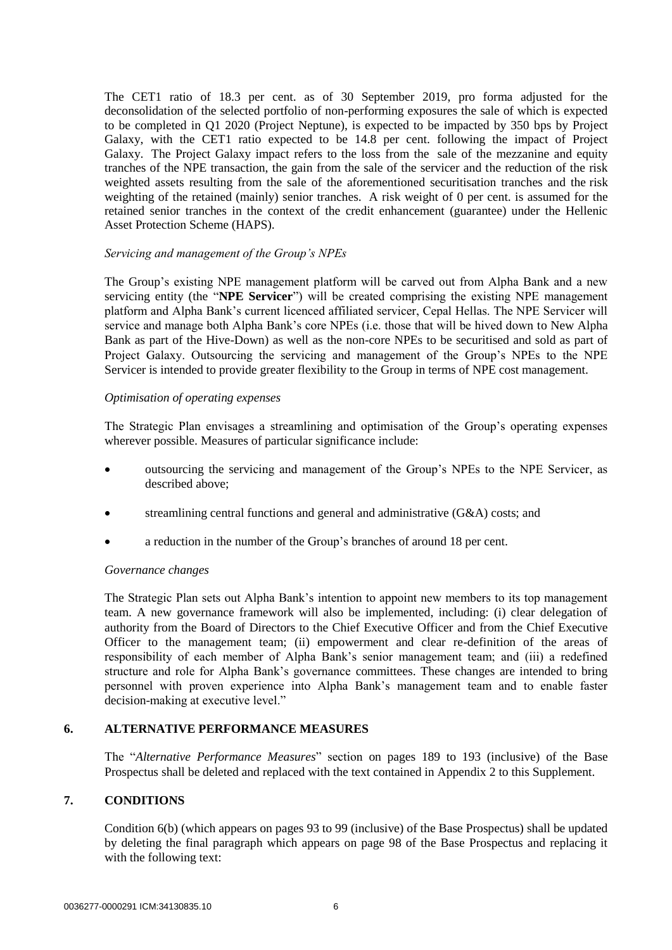The CET1 ratio of 18.3 per cent. as of 30 September 2019, pro forma adjusted for the deconsolidation of the selected portfolio of non-performing exposures the sale of which is expected to be completed in Q1 2020 (Project Neptune), is expected to be impacted by 350 bps by Project Galaxy, with the CET1 ratio expected to be 14.8 per cent. following the impact of Project Galaxy. The Project Galaxy impact refers to the loss from the sale of the mezzanine and equity tranches of the NPE transaction, the gain from the sale of the servicer and the reduction of the risk weighted assets resulting from the sale of the aforementioned securitisation tranches and the risk weighting of the retained (mainly) senior tranches. A risk weight of 0 per cent. is assumed for the retained senior tranches in the context of the credit enhancement (guarantee) under the Hellenic Asset Protection Scheme (HAPS).

## *Servicing and management of the Group's NPEs*

The Group's existing NPE management platform will be carved out from Alpha Bank and a new servicing entity (the "**NPE Servicer**") will be created comprising the existing NPE management platform and Alpha Bank's current licenced affiliated servicer, Cepal Hellas. The NPE Servicer will service and manage both Alpha Bank's core NPEs (i.e. those that will be hived down to New Alpha Bank as part of the Hive-Down) as well as the non-core NPEs to be securitised and sold as part of Project Galaxy. Outsourcing the servicing and management of the Group's NPEs to the NPE Servicer is intended to provide greater flexibility to the Group in terms of NPE cost management.

#### *Optimisation of operating expenses*

The Strategic Plan envisages a streamlining and optimisation of the Group's operating expenses wherever possible. Measures of particular significance include:

- outsourcing the servicing and management of the Group's NPEs to the NPE Servicer, as described above;
- streamlining central functions and general and administrative (G&A) costs; and
- a reduction in the number of the Group's branches of around 18 per cent.

#### *Governance changes*

The Strategic Plan sets out Alpha Bank's intention to appoint new members to its top management team. A new governance framework will also be implemented, including: (i) clear delegation of authority from the Board of Directors to the Chief Executive Officer and from the Chief Executive Officer to the management team; (ii) empowerment and clear re-definition of the areas of responsibility of each member of Alpha Bank's senior management team; and (iii) a redefined structure and role for Alpha Bank's governance committees. These changes are intended to bring personnel with proven experience into Alpha Bank's management team and to enable faster decision-making at executive level."

#### **6. ALTERNATIVE PERFORMANCE MEASURES**

The "*Alternative Performance Measures*" section on pages 189 to 193 (inclusive) of the Base Prospectus shall be deleted and replaced with the text contained in Appendix 2 to this Supplement.

## **7. CONDITIONS**

Condition 6(b) (which appears on pages 93 to 99 (inclusive) of the Base Prospectus) shall be updated by deleting the final paragraph which appears on page 98 of the Base Prospectus and replacing it with the following text: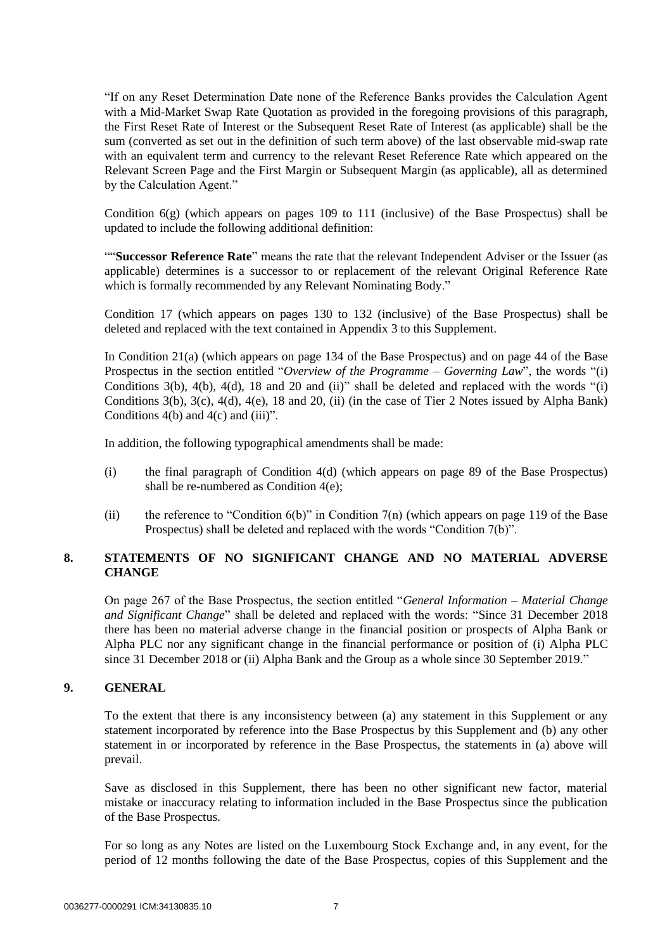"If on any Reset Determination Date none of the Reference Banks provides the Calculation Agent with a Mid-Market Swap Rate Quotation as provided in the foregoing provisions of this paragraph, the First Reset Rate of Interest or the Subsequent Reset Rate of Interest (as applicable) shall be the sum (converted as set out in the definition of such term above) of the last observable mid-swap rate with an equivalent term and currency to the relevant Reset Reference Rate which appeared on the Relevant Screen Page and the First Margin or Subsequent Margin (as applicable), all as determined by the Calculation Agent."

Condition 6(g) (which appears on pages 109 to 111 (inclusive) of the Base Prospectus) shall be updated to include the following additional definition:

""**Successor Reference Rate**" means the rate that the relevant Independent Adviser or the Issuer (as applicable) determines is a successor to or replacement of the relevant Original Reference Rate which is formally recommended by any Relevant Nominating Body."

Condition 17 (which appears on pages 130 to 132 (inclusive) of the Base Prospectus) shall be deleted and replaced with the text contained in Appendix 3 to this Supplement.

In Condition 21(a) (which appears on page 134 of the Base Prospectus) and on page 44 of the Base Prospectus in the section entitled "*Overview of the Programme – Governing Law*", the words "(i) Conditions 3(b), 4(b), 4(d), 18 and 20 and (ii)" shall be deleted and replaced with the words "(i) Conditions 3(b), 3(c), 4(d), 4(e), 18 and 20, (ii) (in the case of Tier 2 Notes issued by Alpha Bank) Conditions  $4(b)$  and  $4(c)$  and  $(iii)$ ".

In addition, the following typographical amendments shall be made:

- (i) the final paragraph of Condition 4(d) (which appears on page 89 of the Base Prospectus) shall be re-numbered as Condition 4(e);
- (ii) the reference to "Condition 6(b)" in Condition 7(n) (which appears on page 119 of the Base Prospectus) shall be deleted and replaced with the words "Condition 7(b)".

# **8. STATEMENTS OF NO SIGNIFICANT CHANGE AND NO MATERIAL ADVERSE CHANGE**

On page 267 of the Base Prospectus, the section entitled "*General Information – Material Change and Significant Change*" shall be deleted and replaced with the words: "Since 31 December 2018 there has been no material adverse change in the financial position or prospects of Alpha Bank or Alpha PLC nor any significant change in the financial performance or position of (i) Alpha PLC since 31 December 2018 or (ii) Alpha Bank and the Group as a whole since 30 September 2019."

## **9. GENERAL**

To the extent that there is any inconsistency between (a) any statement in this Supplement or any statement incorporated by reference into the Base Prospectus by this Supplement and (b) any other statement in or incorporated by reference in the Base Prospectus, the statements in (a) above will prevail.

Save as disclosed in this Supplement, there has been no other significant new factor, material mistake or inaccuracy relating to information included in the Base Prospectus since the publication of the Base Prospectus.

For so long as any Notes are listed on the Luxembourg Stock Exchange and, in any event, for the period of 12 months following the date of the Base Prospectus, copies of this Supplement and the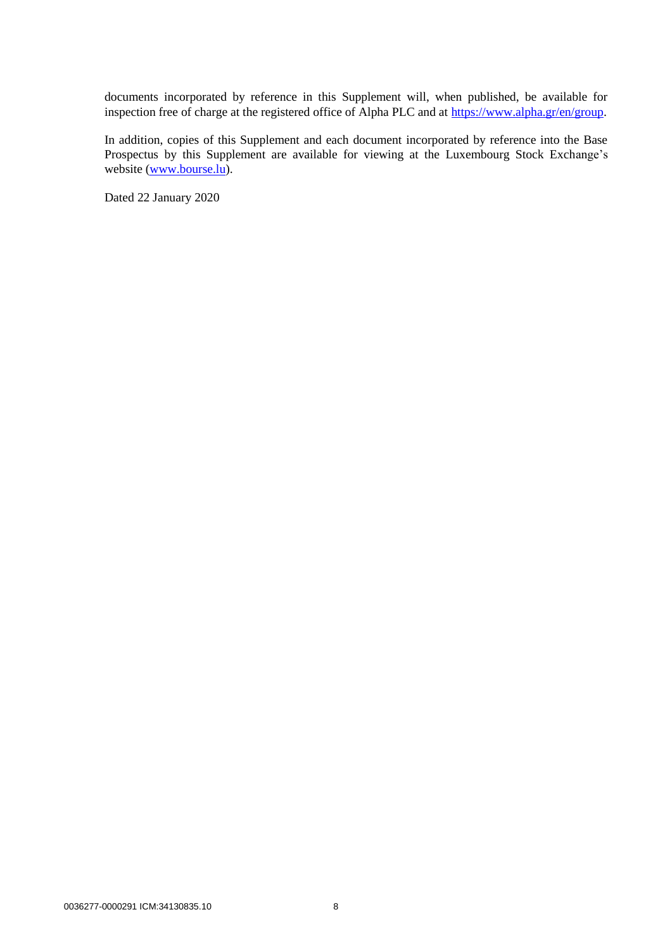documents incorporated by reference in this Supplement will, when published, be available for inspection free of charge at the registered office of Alpha PLC and at [https://www.alpha.gr/en/group.](https://www.alpha.gr/en/group)

In addition, copies of this Supplement and each document incorporated by reference into the Base Prospectus by this Supplement are available for viewing at the Luxembourg Stock Exchange's website [\(www.bourse.lu\)](http://www.bourse.lu/).

Dated 22 January 2020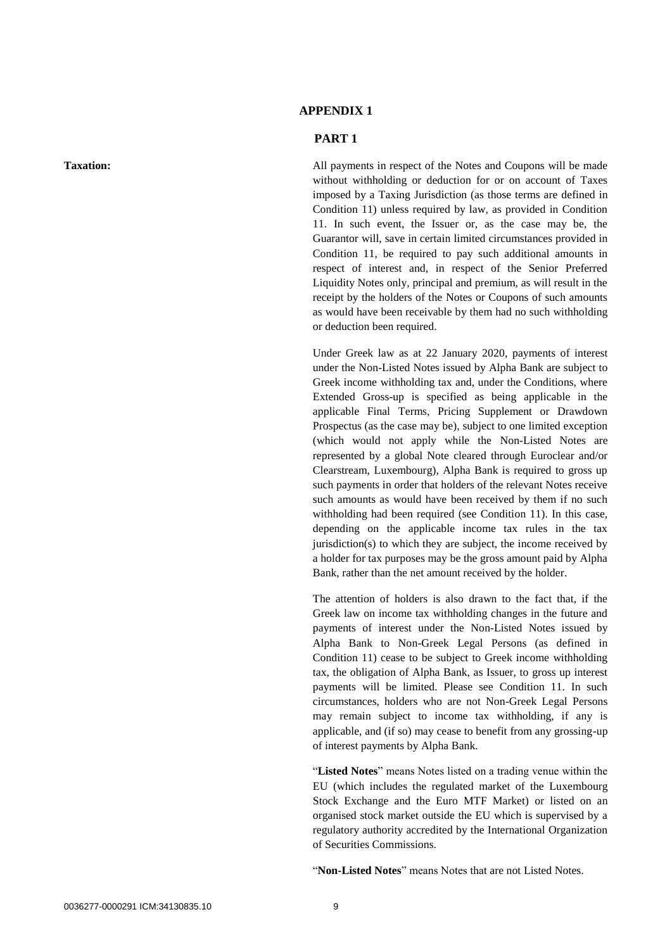# **APPENDIX 1**

#### **PART 1**

**Taxation:** All payments in respect of the Notes and Coupons will be made without withholding or deduction for or on account of Taxes imposed by a Taxing Jurisdiction (as those terms are defined in Condition 11) unless required by law, as provided in Condition 11. In such event, the Issuer or, as the case may be, the Guarantor will, save in certain limited circumstances provided in Condition 11, be required to pay such additional amounts in respect of interest and, in respect of the Senior Preferred Liquidity Notes only, principal and premium, as will result in the receipt by the holders of the Notes or Coupons of such amounts as would have been receivable by them had no such withholding or deduction been required.

> Under Greek law as at 22 January 2020, payments of interest under the Non-Listed Notes issued by Alpha Bank are subject to Greek income withholding tax and, under the Conditions, where Extended Gross-up is specified as being applicable in the applicable Final Terms, Pricing Supplement or Drawdown Prospectus (as the case may be), subject to one limited exception (which would not apply while the Non-Listed Notes are represented by a global Note cleared through Euroclear and/or Clearstream, Luxembourg), Alpha Bank is required to gross up such payments in order that holders of the relevant Notes receive such amounts as would have been received by them if no such withholding had been required (see Condition 11). In this case, depending on the applicable income tax rules in the tax jurisdiction(s) to which they are subject, the income received by a holder for tax purposes may be the gross amount paid by Alpha Bank, rather than the net amount received by the holder.

> The attention of holders is also drawn to the fact that, if the Greek law on income tax withholding changes in the future and payments of interest under the Non-Listed Notes issued by Alpha Bank to Non-Greek Legal Persons (as defined in Condition 11) cease to be subject to Greek income withholding tax, the obligation of Alpha Bank, as Issuer, to gross up interest payments will be limited. Please see Condition 11. In such circumstances, holders who are not Non-Greek Legal Persons may remain subject to income tax withholding, if any is applicable, and (if so) may cease to benefit from any grossing-up of interest payments by Alpha Bank.

> "**Listed Notes**" means Notes listed on a trading venue within the EU (which includes the regulated market of the Luxembourg Stock Exchange and the Euro MTF Market) or listed on an organised stock market outside the EU which is supervised by a regulatory authority accredited by the International Organization of Securities Commissions.

"**Non-Listed Notes**" means Notes that are not Listed Notes.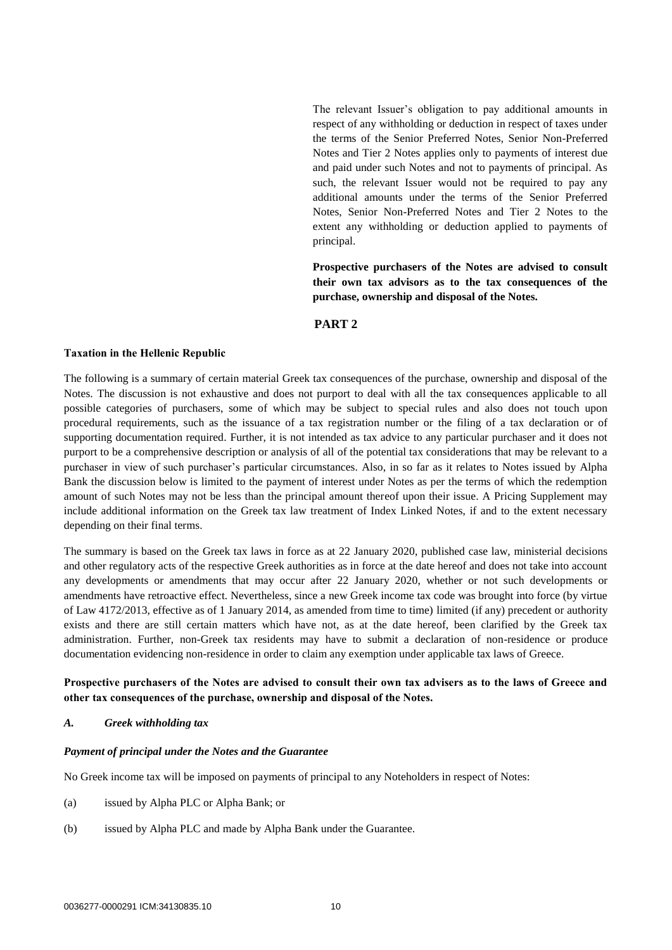The relevant Issuer's obligation to pay additional amounts in respect of any withholding or deduction in respect of taxes under the terms of the Senior Preferred Notes, Senior Non-Preferred Notes and Tier 2 Notes applies only to payments of interest due and paid under such Notes and not to payments of principal. As such, the relevant Issuer would not be required to pay any additional amounts under the terms of the Senior Preferred Notes, Senior Non-Preferred Notes and Tier 2 Notes to the extent any withholding or deduction applied to payments of principal.

**Prospective purchasers of the Notes are advised to consult their own tax advisors as to the tax consequences of the purchase, ownership and disposal of the Notes.**

#### **PART 2**

#### **Taxation in the Hellenic Republic**

The following is a summary of certain material Greek tax consequences of the purchase, ownership and disposal of the Notes. The discussion is not exhaustive and does not purport to deal with all the tax consequences applicable to all possible categories of purchasers, some of which may be subject to special rules and also does not touch upon procedural requirements, such as the issuance of a tax registration number or the filing of a tax declaration or of supporting documentation required. Further, it is not intended as tax advice to any particular purchaser and it does not purport to be a comprehensive description or analysis of all of the potential tax considerations that may be relevant to a purchaser in view of such purchaser's particular circumstances. Also, in so far as it relates to Notes issued by Alpha Bank the discussion below is limited to the payment of interest under Notes as per the terms of which the redemption amount of such Notes may not be less than the principal amount thereof upon their issue. A Pricing Supplement may include additional information on the Greek tax law treatment of Index Linked Notes, if and to the extent necessary depending on their final terms.

The summary is based on the Greek tax laws in force as at 22 January 2020, published case law, ministerial decisions and other regulatory acts of the respective Greek authorities as in force at the date hereof and does not take into account any developments or amendments that may occur after 22 January 2020, whether or not such developments or amendments have retroactive effect. Nevertheless, since a new Greek income tax code was brought into force (by virtue of Law 4172/2013, effective as of 1 January 2014, as amended from time to time) limited (if any) precedent or authority exists and there are still certain matters which have not, as at the date hereof, been clarified by the Greek tax administration. Further, non-Greek tax residents may have to submit a declaration of non-residence or produce documentation evidencing non-residence in order to claim any exemption under applicable tax laws of Greece.

#### **Prospective purchasers of the Notes are advised to consult their own tax advisers as to the laws of Greece and other tax consequences of the purchase, ownership and disposal of the Notes.**

#### *A. Greek withholding tax*

#### *Payment of principal under the Notes and the Guarantee*

No Greek income tax will be imposed on payments of principal to any Noteholders in respect of Notes:

- (a) issued by Alpha PLC or Alpha Bank; or
- (b) issued by Alpha PLC and made by Alpha Bank under the Guarantee.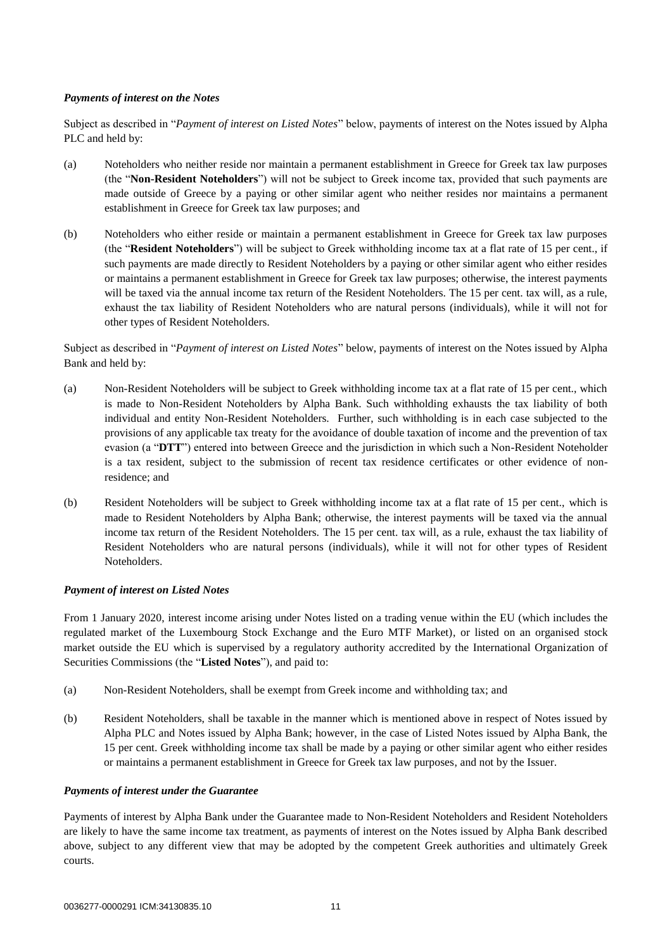#### *Payments of interest on the Notes*

Subject as described in "*Payment of interest on Listed Notes*" below, payments of interest on the Notes issued by Alpha PLC and held by:

- (a) Noteholders who neither reside nor maintain a permanent establishment in Greece for Greek tax law purposes (the "**Non-Resident Noteholders**") will not be subject to Greek income tax, provided that such payments are made outside of Greece by a paying or other similar agent who neither resides nor maintains a permanent establishment in Greece for Greek tax law purposes; and
- (b) Noteholders who either reside or maintain a permanent establishment in Greece for Greek tax law purposes (the "**Resident Noteholders**") will be subject to Greek withholding income tax at a flat rate of 15 per cent., if such payments are made directly to Resident Noteholders by a paying or other similar agent who either resides or maintains a permanent establishment in Greece for Greek tax law purposes; otherwise, the interest payments will be taxed via the annual income tax return of the Resident Noteholders. The 15 per cent. tax will, as a rule, exhaust the tax liability of Resident Noteholders who are natural persons (individuals), while it will not for other types of Resident Noteholders.

Subject as described in "*Payment of interest on Listed Notes*" below, payments of interest on the Notes issued by Alpha Bank and held by:

- (a) Non-Resident Noteholders will be subject to Greek withholding income tax at a flat rate of 15 per cent., which is made to Non-Resident Noteholders by Alpha Bank. Such withholding exhausts the tax liability of both individual and entity Non-Resident Noteholders. Further, such withholding is in each case subjected to the provisions of any applicable tax treaty for the avoidance of double taxation of income and the prevention of tax evasion (a "**DTT**") entered into between Greece and the jurisdiction in which such a Non-Resident Noteholder is a tax resident, subject to the submission of recent tax residence certificates or other evidence of nonresidence; and
- (b) Resident Noteholders will be subject to Greek withholding income tax at a flat rate of 15 per cent., which is made to Resident Noteholders by Alpha Bank; otherwise, the interest payments will be taxed via the annual income tax return of the Resident Noteholders. The 15 per cent. tax will, as a rule, exhaust the tax liability of Resident Noteholders who are natural persons (individuals), while it will not for other types of Resident Noteholders.

#### *Payment of interest on Listed Notes*

From 1 January 2020, interest income arising under Notes listed on a trading venue within the EU (which includes the regulated market of the Luxembourg Stock Exchange and the Euro MTF Market), or listed on an organised stock market outside the EU which is supervised by a regulatory authority accredited by the International Organization of Securities Commissions (the "**Listed Notes**"), and paid to:

- (a) Non-Resident Noteholders, shall be exempt from Greek income and withholding tax; and
- (b) Resident Noteholders, shall be taxable in the manner which is mentioned above in respect of Notes issued by Alpha PLC and Notes issued by Alpha Bank; however, in the case of Listed Notes issued by Alpha Bank, the 15 per cent. Greek withholding income tax shall be made by a paying or other similar agent who either resides or maintains a permanent establishment in Greece for Greek tax law purposes, and not by the Issuer.

#### *Payments of interest under the Guarantee*

Payments of interest by Alpha Bank under the Guarantee made to Non-Resident Noteholders and Resident Noteholders are likely to have the same income tax treatment, as payments of interest on the Notes issued by Alpha Bank described above, subject to any different view that may be adopted by the competent Greek authorities and ultimately Greek courts.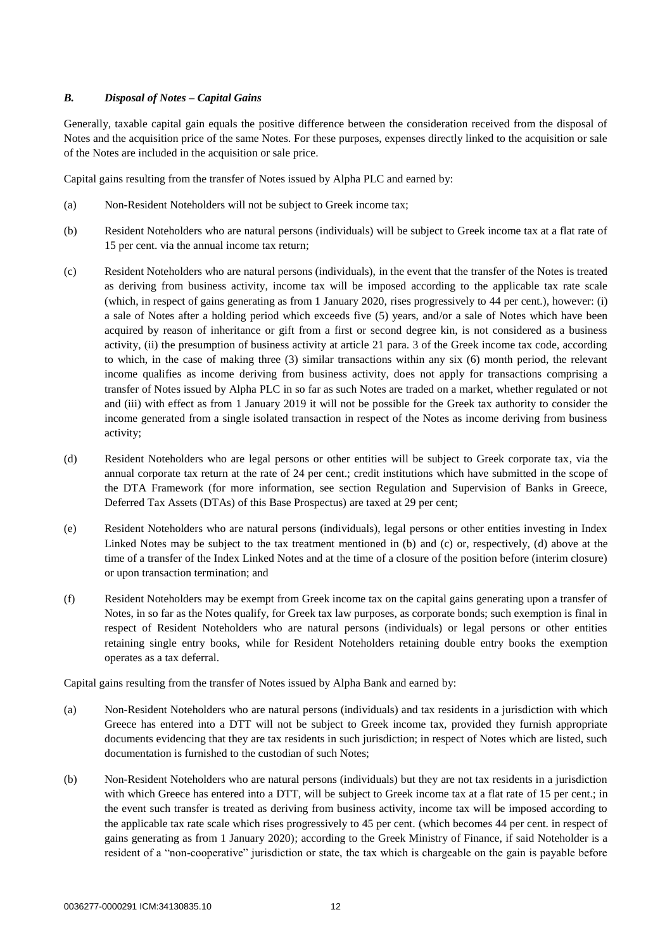#### *B. Disposal of Notes – Capital Gains*

Generally, taxable capital gain equals the positive difference between the consideration received from the disposal of Notes and the acquisition price of the same Notes. For these purposes, expenses directly linked to the acquisition or sale of the Notes are included in the acquisition or sale price.

Capital gains resulting from the transfer of Notes issued by Alpha PLC and earned by:

- (a) Non-Resident Noteholders will not be subject to Greek income tax;
- (b) Resident Noteholders who are natural persons (individuals) will be subject to Greek income tax at a flat rate of 15 per cent. via the annual income tax return;
- (c) Resident Noteholders who are natural persons (individuals), in the event that the transfer of the Notes is treated as deriving from business activity, income tax will be imposed according to the applicable tax rate scale (which, in respect of gains generating as from 1 January 2020, rises progressively to 44 per cent.), however: (i) a sale of Notes after a holding period which exceeds five (5) years, and/or a sale of Notes which have been acquired by reason of inheritance or gift from a first or second degree kin, is not considered as a business activity, (ii) the presumption of business activity at article 21 para. 3 of the Greek income tax code, according to which, in the case of making three (3) similar transactions within any six (6) month period, the relevant income qualifies as income deriving from business activity, does not apply for transactions comprising a transfer of Notes issued by Alpha PLC in so far as such Notes are traded on a market, whether regulated or not and (iii) with effect as from 1 January 2019 it will not be possible for the Greek tax authority to consider the income generated from a single isolated transaction in respect of the Notes as income deriving from business activity;
- (d) Resident Noteholders who are legal persons or other entities will be subject to Greek corporate tax, via the annual corporate tax return at the rate of 24 per cent.; credit institutions which have submitted in the scope of the DTA Framework (for more information, see section Regulation and Supervision of Banks in Greece, Deferred Tax Assets (DTAs) of this Base Prospectus) are taxed at 29 per cent;
- (e) Resident Noteholders who are natural persons (individuals), legal persons or other entities investing in Index Linked Notes may be subject to the tax treatment mentioned in (b) and (c) or, respectively, (d) above at the time of a transfer of the Index Linked Notes and at the time of a closure of the position before (interim closure) or upon transaction termination; and
- (f) Resident Noteholders may be exempt from Greek income tax on the capital gains generating upon a transfer of Notes, in so far as the Notes qualify, for Greek tax law purposes, as corporate bonds; such exemption is final in respect of Resident Noteholders who are natural persons (individuals) or legal persons or other entities retaining single entry books, while for Resident Noteholders retaining double entry books the exemption operates as a tax deferral.

Capital gains resulting from the transfer of Notes issued by Alpha Bank and earned by:

- (a) Non-Resident Noteholders who are natural persons (individuals) and tax residents in a jurisdiction with which Greece has entered into a DTT will not be subject to Greek income tax, provided they furnish appropriate documents evidencing that they are tax residents in such jurisdiction; in respect of Notes which are listed, such documentation is furnished to the custodian of such Notes;
- (b) Non-Resident Noteholders who are natural persons (individuals) but they are not tax residents in a jurisdiction with which Greece has entered into a DTT, will be subject to Greek income tax at a flat rate of 15 per cent.; in the event such transfer is treated as deriving from business activity, income tax will be imposed according to the applicable tax rate scale which rises progressively to 45 per cent. (which becomes 44 per cent. in respect of gains generating as from 1 January 2020); according to the Greek Ministry of Finance, if said Noteholder is a resident of a "non-cooperative" jurisdiction or state, the tax which is chargeable on the gain is payable before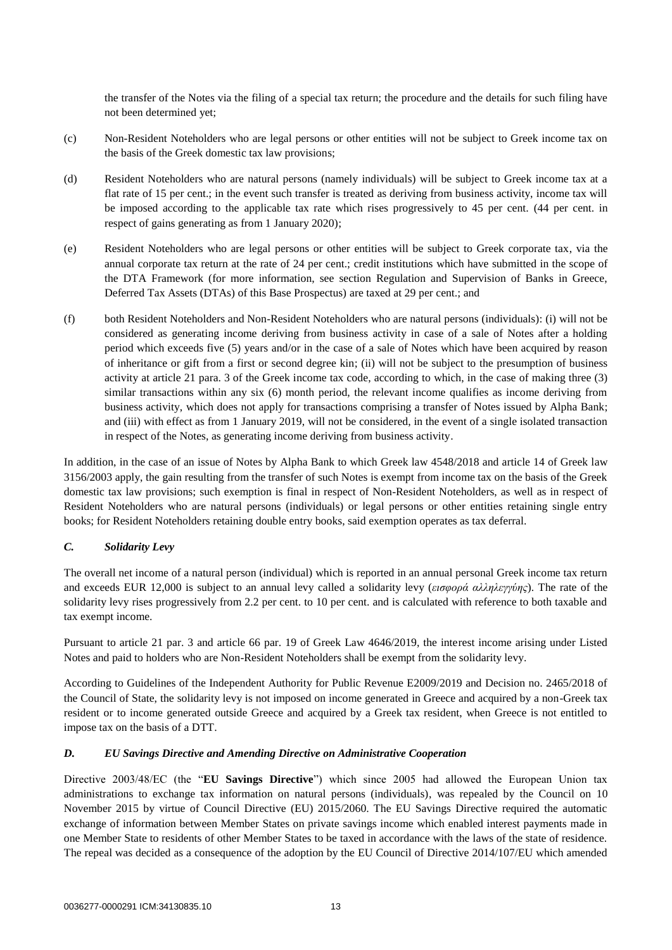the transfer of the Notes via the filing of a special tax return; the procedure and the details for such filing have not been determined yet;

- (c) Non-Resident Noteholders who are legal persons or other entities will not be subject to Greek income tax on the basis of the Greek domestic tax law provisions;
- (d) Resident Noteholders who are natural persons (namely individuals) will be subject to Greek income tax at a flat rate of 15 per cent.; in the event such transfer is treated as deriving from business activity, income tax will be imposed according to the applicable tax rate which rises progressively to 45 per cent. (44 per cent. in respect of gains generating as from 1 January 2020);
- (e) Resident Noteholders who are legal persons or other entities will be subject to Greek corporate tax, via the annual corporate tax return at the rate of 24 per cent.; credit institutions which have submitted in the scope of the DTA Framework (for more information, see section Regulation and Supervision of Banks in Greece, Deferred Tax Assets (DTAs) of this Base Prospectus) are taxed at 29 per cent.; and
- (f) both Resident Noteholders and Non-Resident Noteholders who are natural persons (individuals): (i) will not be considered as generating income deriving from business activity in case of a sale of Notes after a holding period which exceeds five (5) years and/or in the case of a sale of Notes which have been acquired by reason of inheritance or gift from a first or second degree kin; (ii) will not be subject to the presumption of business activity at article 21 para. 3 of the Greek income tax code, according to which, in the case of making three (3) similar transactions within any six (6) month period, the relevant income qualifies as income deriving from business activity, which does not apply for transactions comprising a transfer of Notes issued by Alpha Bank; and (iii) with effect as from 1 January 2019, will not be considered, in the event of a single isolated transaction in respect of the Notes, as generating income deriving from business activity.

In addition, in the case of an issue of Notes by Alpha Bank to which Greek law 4548/2018 and article 14 of Greek law 3156/2003 apply, the gain resulting from the transfer of such Notes is exempt from income tax on the basis of the Greek domestic tax law provisions; such exemption is final in respect of Non-Resident Noteholders, as well as in respect of Resident Noteholders who are natural persons (individuals) or legal persons or other entities retaining single entry books; for Resident Noteholders retaining double entry books, said exemption operates as tax deferral.

## *C. Solidarity Levy*

The overall net income of a natural person (individual) which is reported in an annual personal Greek income tax return and exceeds EUR 12,000 is subject to an annual levy called a solidarity levy (*εισφορά αλληλεγγύης*). The rate of the solidarity levy rises progressively from 2.2 per cent. to 10 per cent. and is calculated with reference to both taxable and tax exempt income.

Pursuant to article 21 par. 3 and article 66 par. 19 of Greek Law 4646/2019, the interest income arising under Listed Notes and paid to holders who are Non-Resident Noteholders shall be exempt from the solidarity levy.

According to Guidelines of the Independent Authority for Public Revenue E2009/2019 and Decision no. 2465/2018 of the Council of State, the solidarity levy is not imposed on income generated in Greece and acquired by a non-Greek tax resident or to income generated outside Greece and acquired by a Greek tax resident, when Greece is not entitled to impose tax on the basis of a DTT.

#### *D. EU Savings Directive and Amending Directive on Administrative Cooperation*

Directive 2003/48/EC (the "**EU Savings Directive**") which since 2005 had allowed the European Union tax administrations to exchange tax information on natural persons (individuals), was repealed by the Council on 10 November 2015 by virtue of Council Directive (EU) 2015/2060. The EU Savings Directive required the automatic exchange of information between Member States on private savings income which enabled interest payments made in one Member State to residents of other Member States to be taxed in accordance with the laws of the state of residence. The repeal was decided as a consequence of the adoption by the EU Council of Directive 2014/107/EU which amended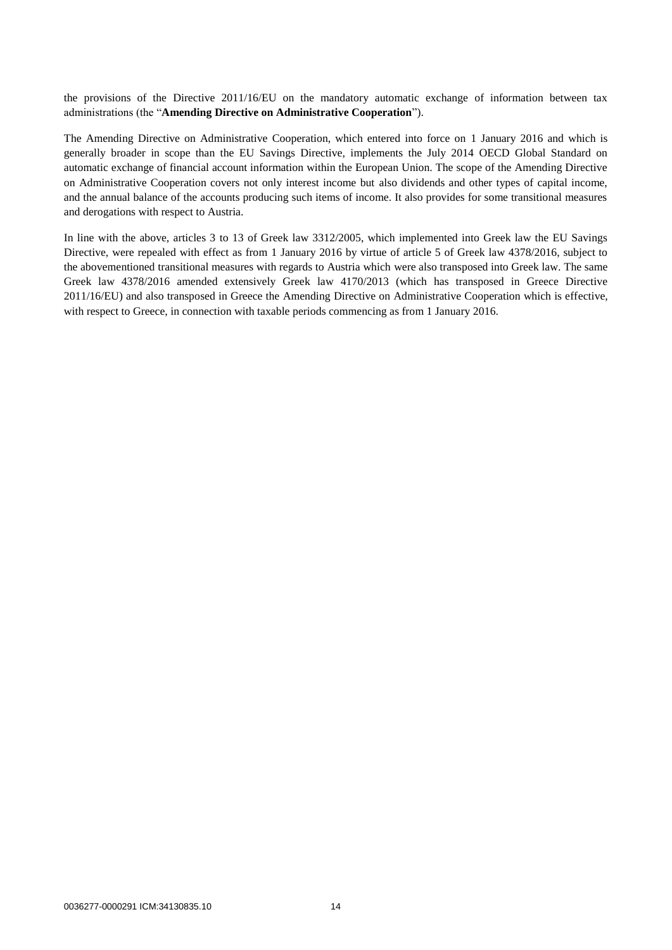the provisions of the Directive 2011/16/EU on the mandatory automatic exchange of information between tax administrations (the "**Amending Directive on Administrative Cooperation**").

The Amending Directive on Administrative Cooperation, which entered into force on 1 January 2016 and which is generally broader in scope than the EU Savings Directive, implements the July 2014 OECD Global Standard on automatic exchange of financial account information within the European Union. The scope of the Amending Directive on Administrative Cooperation covers not only interest income but also dividends and other types of capital income, and the annual balance of the accounts producing such items of income. It also provides for some transitional measures and derogations with respect to Austria.

In line with the above, articles 3 to 13 of Greek law 3312/2005, which implemented into Greek law the EU Savings Directive, were repealed with effect as from 1 January 2016 by virtue of article 5 of Greek law 4378/2016, subject to the abovementioned transitional measures with regards to Austria which were also transposed into Greek law. The same Greek law 4378/2016 amended extensively Greek law 4170/2013 (which has transposed in Greece Directive 2011/16/EU) and also transposed in Greece the Amending Directive on Administrative Cooperation which is effective, with respect to Greece, in connection with taxable periods commencing as from 1 January 2016.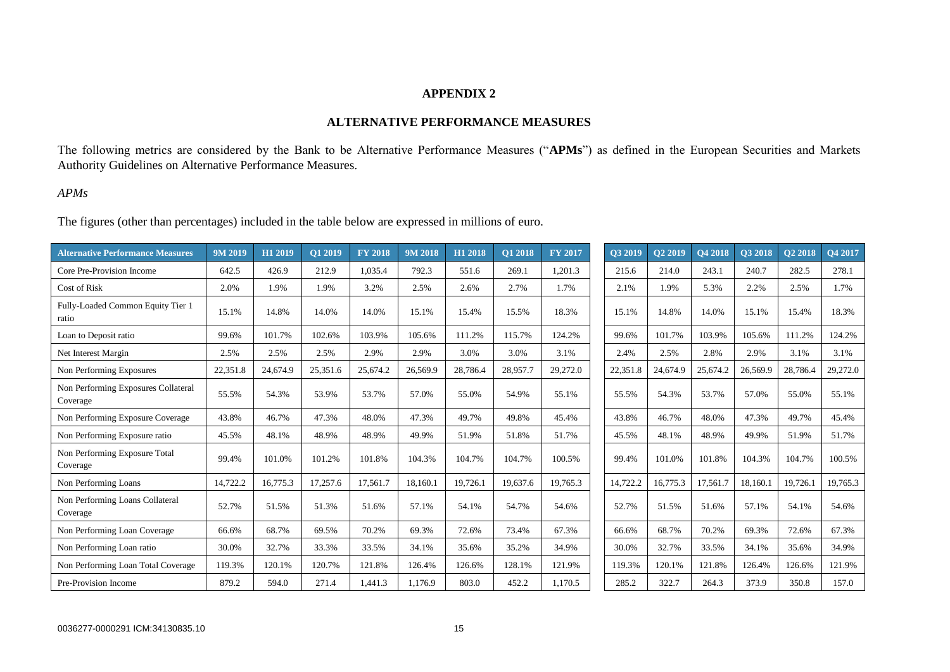# **APPENDIX 2**

# **ALTERNATIVE PERFORMANCE MEASURES**

The following metrics are considered by the Bank to be Alternative Performance Measures ("**APMs**") as defined in the European Securities and Markets Authority Guidelines on Alternative Performance Measures.

# *APMs*

The figures (other than percentages) included in the table below are expressed in millions of euro.

| <b>Alternative Performance Measures</b>         | 9M 2019  | H <sub>1</sub> 2019 | $\overline{Q}1\,2019$ | <b>FY 2018</b> | 9M 2018  | H1 2018  | <b>O1 2018</b> | <b>FY 2017</b> | <b>O3 2019</b> | <b>O2 2019</b> | <b>O4 2018</b> | <b>O3 2018</b> | <b>O2 2018</b> | O4 2017  |
|-------------------------------------------------|----------|---------------------|-----------------------|----------------|----------|----------|----------------|----------------|----------------|----------------|----------------|----------------|----------------|----------|
| Core Pre-Provision Income                       | 642.5    | 426.9               | 212.9                 | 1.035.4        | 792.3    | 551.6    | 269.1          | 1,201.3        | 215.6          | 214.0          | 243.1          | 240.7          | 282.5          | 278.1    |
| <b>Cost of Risk</b>                             | 2.0%     | 1.9%                | 1.9%                  | 3.2%           | 2.5%     | 2.6%     | 2.7%           | 1.7%           | 2.1%           | 1.9%           | 5.3%           | 2.2%           | 2.5%           | 1.7%     |
| Fully-Loaded Common Equity Tier 1<br>ratio      | 15.1%    | 14.8%               | 14.0%                 | 14.0%          | 15.1%    | 15.4%    | 15.5%          | 18.3%          | 15.1%          | 14.8%          | 14.0%          | 15.1%          | 15.4%          | 18.3%    |
| Loan to Deposit ratio                           | 99.6%    | 101.7%              | 102.6%                | 103.9%         | 105.6%   | 111.2%   | 115.7%         | 124.2%         | 99.6%          | 101.7%         | 103.9%         | 105.6%         | 111.2%         | 124.2%   |
| Net Interest Margin                             | 2.5%     | 2.5%                | 2.5%                  | 2.9%           | 2.9%     | 3.0%     | 3.0%           | 3.1%           | 2.4%           | 2.5%           | 2.8%           | 2.9%           | 3.1%           | 3.1%     |
| Non Performing Exposures                        | 22,351.8 | 24,674.9            | 25,351.6              | 25,674.2       | 26,569.9 | 28,786.4 | 28,957.7       | 29,272.0       | 22,351.8       | 24,674.9       | 25,674.2       | 26,569.9       | 28,786.4       | 29,272.0 |
| Non Performing Exposures Collateral<br>Coverage | 55.5%    | 54.3%               | 53.9%                 | 53.7%          | 57.0%    | 55.0%    | 54.9%          | 55.1%          | 55.5%          | 54.3%          | 53.7%          | 57.0%          | 55.0%          | 55.1%    |
| Non Performing Exposure Coverage                | 43.8%    | 46.7%               | 47.3%                 | 48.0%          | 47.3%    | 49.7%    | 49.8%          | 45.4%          | 43.8%          | 46.7%          | 48.0%          | 47.3%          | 49.7%          | 45.4%    |
| Non Performing Exposure ratio                   | 45.5%    | 48.1%               | 48.9%                 | 48.9%          | 49.9%    | 51.9%    | 51.8%          | 51.7%          | 45.5%          | 48.1%          | 48.9%          | 49.9%          | 51.9%          | 51.7%    |
| Non Performing Exposure Total<br>Coverage       | 99.4%    | 101.0%              | 101.2%                | 101.8%         | 104.3%   | 104.7%   | 104.7%         | 100.5%         | 99.4%          | 101.0%         | 101.8%         | 104.3%         | 104.7%         | 100.5%   |
| Non Performing Loans                            | 14,722.2 | 16,775.3            | 17,257.6              | 17,561.7       | 18.160.1 | 19,726.1 | 19,637.6       | 19.765.3       | 14,722.2       | 16,775.3       | 17,561.7       | 18,160.1       | 19,726.1       | 19,765.3 |
| Non Performing Loans Collateral<br>Coverage     | 52.7%    | 51.5%               | 51.3%                 | 51.6%          | 57.1%    | 54.1%    | 54.7%          | 54.6%          | 52.7%          | 51.5%          | 51.6%          | 57.1%          | 54.1%          | 54.6%    |
| Non Performing Loan Coverage                    | 66.6%    | 68.7%               | 69.5%                 | 70.2%          | 69.3%    | 72.6%    | 73.4%          | 67.3%          | 66.6%          | 68.7%          | 70.2%          | 69.3%          | 72.6%          | 67.3%    |
| Non Performing Loan ratio                       | 30.0%    | 32.7%               | 33.3%                 | 33.5%          | 34.1%    | 35.6%    | 35.2%          | 34.9%          | 30.0%          | 32.7%          | 33.5%          | 34.1%          | 35.6%          | 34.9%    |
| Non Performing Loan Total Coverage              | 119.3%   | 120.1%              | 120.7%                | 121.8%         | 126.4%   | 126.6%   | 128.1%         | 121.9%         | 119.3%         | 120.1%         | 121.8%         | 126.4%         | 126.6%         | 121.9%   |
| Pre-Provision Income                            | 879.2    | 594.0               | 271.4                 | 1,441.3        | 1.176.9  | 803.0    | 452.2          | 1,170.5        | 285.2          | 322.7          | 264.3          | 373.9          | 350.8          | 157.0    |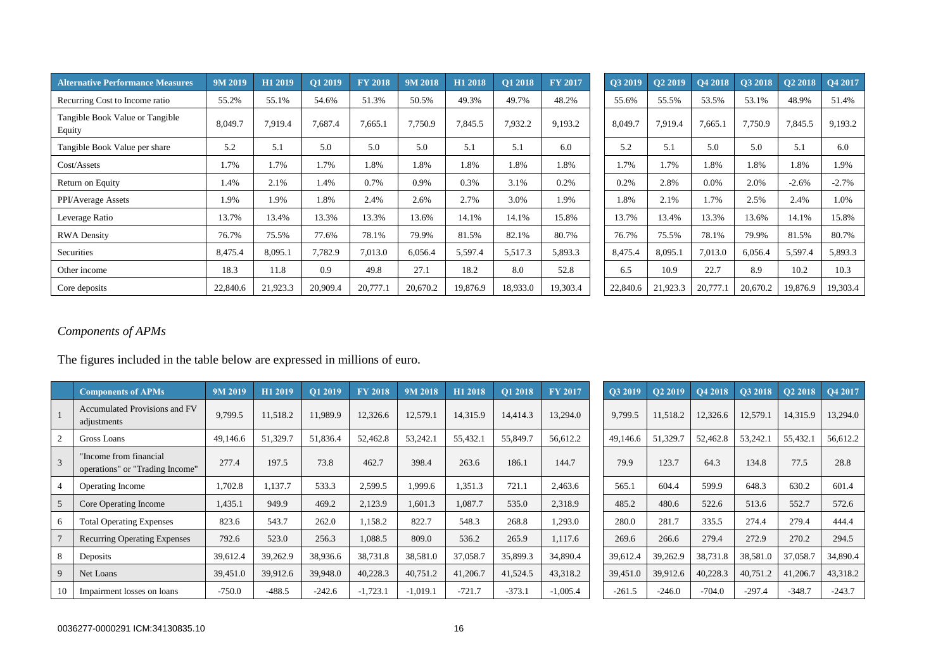| <b>Alternative Performance Measures</b>   | 9M 2019  | H1 2019  | O1 2019  | <b>FY 2018</b> | $9M\overline{2018}$ | H1 2018  | O1 2018  | <b>FY 2017</b> | O3 2019  | O <sub>2</sub> 2019 | O4 2018  | O3 2018  | O <sub>2</sub> 2018 | O4 2017  |
|-------------------------------------------|----------|----------|----------|----------------|---------------------|----------|----------|----------------|----------|---------------------|----------|----------|---------------------|----------|
| Recurring Cost to Income ratio            | 55.2%    | 55.1%    | 54.6%    | 51.3%          | 50.5%               | 49.3%    | 49.7%    | 48.2%          | 55.6%    | 55.5%               | 53.5%    | 53.1%    | 48.9%               | 51.4%    |
| Tangible Book Value or Tangible<br>Equity | 8,049.7  | 7.919.4  | 7,687.4  | 7,665.1        | 7,750.9             | 7,845.5  | 7,932.2  | 9,193.2        | 8,049.7  | 7,919.4             | 7,665.1  | 7,750.9  | 7,845.5             | 9,193.2  |
| Tangible Book Value per share             | 5.2      | 5.1      | 5.0      | 5.0            | 5.0                 | 5.1      | 5.1      | 6.0            | 5.2      | 5.1                 | 5.0      | 5.0      | 5.1                 | 6.0      |
| Cost/Assets                               | 1.7%     | 1.7%     | 1.7%     | 1.8%           | 1.8%                | 1.8%     | 1.8%     | 1.8%           | 1.7%     | l.7%                | 1.8%     | 1.8%     | 1.8%                | 1.9%     |
| Return on Equity                          | 1.4%     | 2.1%     | 1.4%     | 0.7%           | 0.9%                | 0.3%     | 3.1%     | 0.2%           | 0.2%     | 2.8%                | $0.0\%$  | 2.0%     | $-2.6%$             | $-2.7%$  |
| PPI/Average Assets                        | 1.9%     | 1.9%     | 1.8%     | 2.4%           | 2.6%                | 2.7%     | 3.0%     | 1.9%           | 1.8%     | 2.1%                | 1.7%     | 2.5%     | 2.4%                | 1.0%     |
| Leverage Ratio                            | 13.7%    | 13.4%    | 13.3%    | 13.3%          | 13.6%               | 14.1%    | 14.1%    | 15.8%          | 13.7%    | 13.4%               | 13.3%    | 13.6%    | 14.1%               | 15.8%    |
| <b>RWA Density</b>                        | 76.7%    | 75.5%    | 77.6%    | 78.1%          | 79.9%               | 81.5%    | 82.1%    | 80.7%          | 76.7%    | 75.5%               | 78.1%    | 79.9%    | 81.5%               | 80.7%    |
| Securities                                | 8,475.4  | 8,095.1  | 7,782.9  | 7,013.0        | 6,056.4             | 5,597.4  | 5,517.3  | 5,893.3        | 8,475.4  | 8,095.1             | 7,013.0  | 6,056.4  | 5,597.4             | 5,893.3  |
| Other income                              | 18.3     | 11.8     | 0.9      | 49.8           | 27.1                | 18.2     | 8.0      | 52.8           | 6.5      | 10.9                | 22.7     | 8.9      | 10.2                | 10.3     |
| Core deposits                             | 22,840.6 | 21,923.3 | 20,909.4 | 20,777.1       | 20,670.2            | 19,876.9 | 18,933.0 | 19,303.4       | 22,840.6 | 21,923.3            | 20,777.1 | 20,670.2 | 19,876.9            | 19,303.4 |

| Q3 2019  | Q2 2019  | Q4 2018  | Q3 2018  | Q2 2018  | Q4 2017  |
|----------|----------|----------|----------|----------|----------|
| 55.6%    | 55.5%    | 53.5%    | 53.1%    | 48.9%    | 51.4%    |
| 8,049.7  | 7.919.4  | 7,665.1  | 7,750.9  | 7,845.5  | 9,193.2  |
| 5.2      | 5.1      | 5.0      | 5.0      | 5.1      | 6.0      |
| 1.7%     | 1.7%     | 1.8%     | 1.8%     | 1.8%     | 1.9%     |
| 0.2%     | 2.8%     | 0.0%     | 2.0%     | $-2.6%$  | $-2.7%$  |
| 1.8%     | 2.1%     | 1.7%     | 2.5%     | 2.4%     | 1.0%     |
| 13.7%    | 13.4%    | 13.3%    | 13.6%    | 14.1%    | 15.8%    |
| 76.7%    | 75.5%    | 78.1%    | 79.9%    | 81.5%    | 80.7%    |
| 8,475.4  | 8,095.1  | 7,013.0  | 6,056.4  | 5,597.4  | 5,893.3  |
| 6.5      | 10.9     | 22.7     | 8.9      | 10.2     | 10.3     |
| 22,840.6 | 21,923.3 | 20,777.1 | 20,670.2 | 19,876.9 | 19,303.4 |

# *Components of APMs*

The figures included in the table below are expressed in millions of euro.

|    | <b>Components of APMs</b>                                 | 9M 2019  | H1 2019  | O1 2019  | <b>FY 2018</b> | 9M 2018    | H1 2018  | O1 2018  | <b>FY 2017</b> | O3 2019  | O2 2019  | <b>O4 2018</b> | <b>O3 2018</b> | <b>O2 2018</b> | O4 2017  |
|----|-----------------------------------------------------------|----------|----------|----------|----------------|------------|----------|----------|----------------|----------|----------|----------------|----------------|----------------|----------|
|    | Accumulated Provisions and FV<br>adjustments              | 9,799.5  | 11,518.2 | 11,989.9 | 12,326.6       | 12,579.1   | 14,315.9 | 14,414.3 | 13,294.0       | 9,799.5  | 11,518.2 | 12,326.6       | 12,579.1       | 14,315.9       | 13,294.0 |
|    | Gross Loans                                               | 49,146.6 | 51,329.7 | 51,836.4 | 52,462.8       | 53,242.1   | 55,432.1 | 55,849.7 | 56,612.2       | 49,146.6 | 51,329.7 | 52,462.8       | 53,242.1       | 55,432.1       | 56,612.2 |
|    | "Income from financial<br>operations" or "Trading Income" | 277.4    | 197.5    | 73.8     | 462.7          | 398.4      | 263.6    | 186.1    | 144.7          | 79.9     | 123.7    | 64.3           | 134.8          | 77.5           | 28.8     |
|    | <b>Operating Income</b>                                   | 1,702.8  | 1,137.7  | 533.3    | 2,599.5        | 1,999.6    | 1,351.3  | 721.1    | 2,463.6        | 565.1    | 604.4    | 599.9          | 648.3          | 630.2          | 601.4    |
| 5  | Core Operating Income                                     | 1,435.1  | 949.9    | 469.2    | 2,123.9        | 1,601.3    | 1,087.7  | 535.0    | 2,318.9        | 485.2    | 480.6    | 522.6          | 513.6          | 552.7          | 572.6    |
|    | <b>Total Operating Expenses</b>                           | 823.6    | 543.7    | 262.0    | 1,158.2        | 822.7      | 548.3    | 268.8    | 1,293.0        | 280.0    | 281.7    | 335.5          | 274.4          | 279.4          | 444.4    |
|    | <b>Recurring Operating Expenses</b>                       | 792.6    | 523.0    | 256.3    | 1,088.5        | 809.0      | 536.2    | 265.9    | 1.117.6        | 269.6    | 266.6    | 279.4          | 272.9          | 270.2          | 294.5    |
|    | Deposits                                                  | 39,612.4 | 39,262.9 | 38,936.6 | 38,731.8       | 38,581.0   | 37,058.7 | 35,899.3 | 34,890.4       | 39,612.4 | 39,262.9 | 38,731.8       | 38,581.0       | 37,058.7       | 34,890.4 |
| 9  | Net Loans                                                 | 39,451.0 | 39,912.6 | 39,948.0 | 40,228.3       | 40,751.2   | 41,206.7 | 41,524.5 | 43,318.2       | 39,451.0 | 39,912.6 | 40,228.3       | 40,751.2       | 41,206.7       | 43,318.2 |
| 10 | Impairment losses on loans                                | $-750.0$ | $-488.5$ | $-242.6$ | $-1,723.1$     | $-1,019.1$ | $-721.7$ | $-373.1$ | $-1,005.4$     | $-261.5$ | $-246.0$ | $-704.0$       | $-297.4$       | $-348.7$       | $-243.7$ |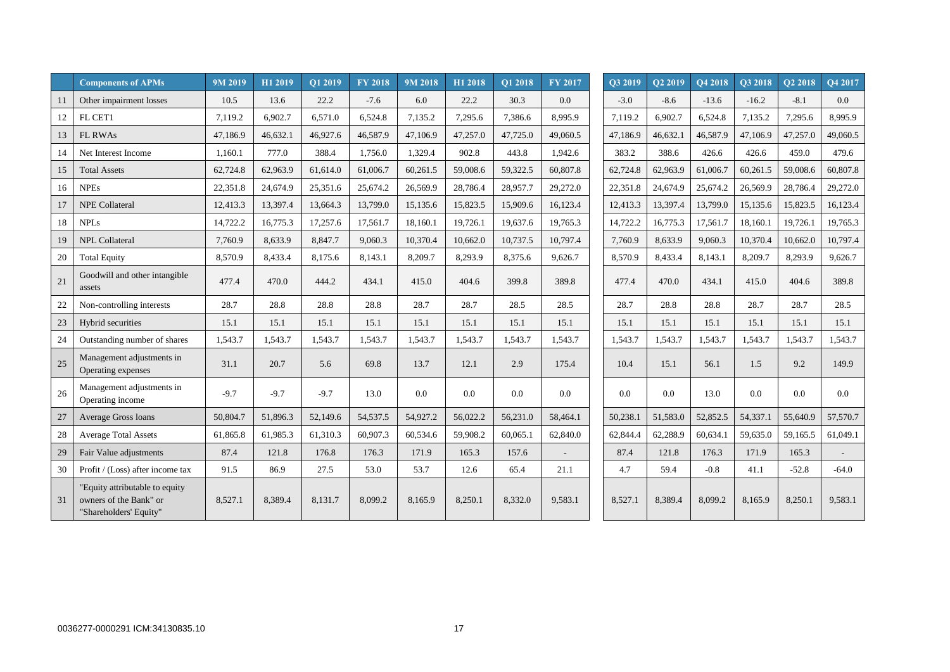|    | <b>Components of APMs</b>                                                          | 9M 2019  | H1 2019  | Q1 2019  | <b>FY 2018</b> | 9M 2018  | H1 2018  | O1 2018  | FY 2017  | O3 2019  | O <sub>2</sub> 2019 | O <sub>4</sub> 2018 | O3 2018  | O2 2018  | Q4 2017  |
|----|------------------------------------------------------------------------------------|----------|----------|----------|----------------|----------|----------|----------|----------|----------|---------------------|---------------------|----------|----------|----------|
| 11 | Other impairment losses                                                            | 10.5     | 13.6     | 22.2     | $-7.6$         | 6.0      | 22.2     | 30.3     | 0.0      | $-3.0$   | $-8.6$              | $-13.6$             | $-16.2$  | $-8.1$   | $0.0\,$  |
| 12 | FL CET1                                                                            | 7.119.2  | 6,902.7  | 6,571.0  | 6,524.8        | 7,135.2  | 7,295.6  | 7,386.6  | 8.995.9  | 7,119.2  | 6,902.7             | 6,524.8             | 7,135.2  | 7,295.6  | 8,995.9  |
| 13 | <b>FL RWAs</b>                                                                     | 47,186.9 | 46,632.1 | 46,927.6 | 46,587.9       | 47,106.9 | 47,257.0 | 47,725.0 | 49,060.5 | 47.186.9 | 46,632.1            | 46,587.9            | 47,106.9 | 47,257.0 | 49,060.5 |
| 14 | Net Interest Income                                                                | 1,160.1  | 777.0    | 388.4    | 1,756.0        | 1,329.4  | 902.8    | 443.8    | 1,942.6  | 383.2    | 388.6               | 426.6               | 426.6    | 459.0    | 479.6    |
| 15 | <b>Total Assets</b>                                                                | 62,724.8 | 62,963.9 | 61,614.0 | 61,006.7       | 60,261.5 | 59,008.6 | 59,322.5 | 60,807.8 | 62,724.8 | 62,963.9            | 61,006.7            | 60,261.5 | 59,008.6 | 60,807.8 |
| 16 | <b>NPEs</b>                                                                        | 22,351.8 | 24,674.9 | 25,351.6 | 25,674.2       | 26,569.9 | 28,786.4 | 28,957.7 | 29,272.0 | 22,351.8 | 24,674.9            | 25,674.2            | 26,569.9 | 28,786.4 | 29,272.0 |
| 17 | <b>NPE Collateral</b>                                                              | 12,413.3 | 13,397.4 | 13,664.3 | 13,799.0       | 15,135.6 | 15,823.5 | 15,909.6 | 16,123.4 | 12,413.3 | 13,397.4            | 13,799.0            | 15,135.6 | 15,823.5 | 16,123.4 |
| 18 | <b>NPLs</b>                                                                        | 14,722.2 | 16,775.3 | 17,257.6 | 17,561.7       | 18,160.1 | 19,726.1 | 19,637.6 | 19,765.3 | 14,722.2 | 16,775.3            | 17,561.7            | 18,160.1 | 19,726.1 | 19,765.3 |
| 19 | <b>NPL Collateral</b>                                                              | 7,760.9  | 8,633.9  | 8,847.7  | 9,060.3        | 10,370.4 | 10,662.0 | 10,737.5 | 10,797.4 | 7,760.9  | 8,633.9             | 9,060.3             | 10,370.4 | 10,662.0 | 10,797.4 |
| 20 | <b>Total Equity</b>                                                                | 8.570.9  | 8,433.4  | 8,175.6  | 8.143.1        | 8,209.7  | 8,293.9  | 8,375.6  | 9.626.7  | 8,570.9  | 8.433.4             | 8.143.1             | 8,209.7  | 8,293.9  | 9,626.7  |
| 21 | Goodwill and other intangible<br>assets                                            | 477.4    | 470.0    | 444.2    | 434.1          | 415.0    | 404.6    | 399.8    | 389.8    | 477.4    | 470.0               | 434.1               | 415.0    | 404.6    | 389.8    |
| 22 | Non-controlling interests                                                          | 28.7     | 28.8     | 28.8     | 28.8           | 28.7     | 28.7     | 28.5     | 28.5     | 28.7     | 28.8                | 28.8                | 28.7     | 28.7     | 28.5     |
| 23 | Hybrid securities                                                                  | 15.1     | 15.1     | 15.1     | 15.1           | 15.1     | 15.1     | 15.1     | 15.1     | 15.1     | 15.1                | 15.1                | 15.1     | 15.1     | 15.1     |
| 24 | Outstanding number of shares                                                       | 1,543.7  | 1,543.7  | 1.543.7  | 1.543.7        | 1,543.7  | 1,543.7  | 1,543.7  | 1.543.7  | 1,543.7  | 1,543.7             | 1,543.7             | 1,543.7  | 1,543.7  | 1,543.7  |
| 25 | Management adjustments in<br>Operating expenses                                    | 31.1     | 20.7     | 5.6      | 69.8           | 13.7     | 12.1     | 2.9      | 175.4    | 10.4     | 15.1                | 56.1                | 1.5      | 9.2      | 149.9    |
| 26 | Management adjustments in<br>Operating income                                      | $-9.7$   | $-9.7$   | $-9.7$   | 13.0           | 0.0      | 0.0      | 0.0      | 0.0      | 0.0      | 0.0                 | 13.0                | $0.0\,$  | 0.0      | $0.0\,$  |
| 27 | <b>Average Gross loans</b>                                                         | 50,804.7 | 51,896.3 | 52,149.6 | 54,537.5       | 54,927.2 | 56,022.2 | 56,231.0 | 58,464.1 | 50,238.1 | 51,583.0            | 52,852.5            | 54,337.1 | 55,640.9 | 57,570.7 |
| 28 | <b>Average Total Assets</b>                                                        | 61,865.8 | 61,985.3 | 61,310.3 | 60,907.3       | 60,534.6 | 59,908.2 | 60,065.1 | 62,840.0 | 62,844.4 | 62,288.9            | 60,634.1            | 59,635.0 | 59,165.5 | 61,049.1 |
| 29 | Fair Value adjustments                                                             | 87.4     | 121.8    | 176.8    | 176.3          | 171.9    | 165.3    | 157.6    |          | 87.4     | 121.8               | 176.3               | 171.9    | 165.3    |          |
| 30 | Profit / (Loss) after income tax                                                   | 91.5     | 86.9     | 27.5     | 53.0           | 53.7     | 12.6     | 65.4     | 21.1     | 4.7      | 59.4                | $-0.8$              | 41.1     | $-52.8$  | $-64.0$  |
| 31 | "Equity attributable to equity<br>owners of the Bank" or<br>"Shareholders' Equity" | 8,527.1  | 8,389.4  | 8,131.7  | 8,099.2        | 8,165.9  | 8,250.1  | 8,332.0  | 9,583.1  | 8,527.1  | 8,389.4             | 8,099.2             | 8,165.9  | 8,250.1  | 9,583.1  |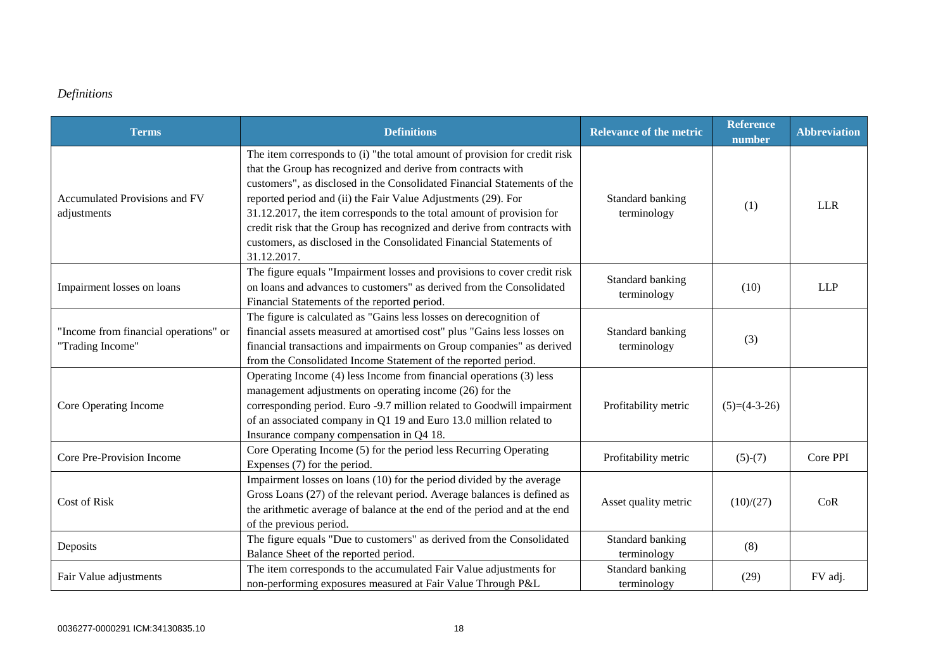# *Definitions*

| <b>Terms</b>                                              | <b>Definitions</b>                                                                                                                                                                                                                                                                                                                                                                                                                                                                                                                 | <b>Relevance of the metric</b>  | <b>Reference</b><br>number | <b>Abbreviation</b> |
|-----------------------------------------------------------|------------------------------------------------------------------------------------------------------------------------------------------------------------------------------------------------------------------------------------------------------------------------------------------------------------------------------------------------------------------------------------------------------------------------------------------------------------------------------------------------------------------------------------|---------------------------------|----------------------------|---------------------|
| Accumulated Provisions and FV<br>adjustments              | The item corresponds to (i) "the total amount of provision for credit risk<br>that the Group has recognized and derive from contracts with<br>customers", as disclosed in the Consolidated Financial Statements of the<br>reported period and (ii) the Fair Value Adjustments (29). For<br>31.12.2017, the item corresponds to the total amount of provision for<br>credit risk that the Group has recognized and derive from contracts with<br>customers, as disclosed in the Consolidated Financial Statements of<br>31.12.2017. | Standard banking<br>terminology | (1)                        | <b>LLR</b>          |
| Impairment losses on loans                                | The figure equals "Impairment losses and provisions to cover credit risk<br>on loans and advances to customers" as derived from the Consolidated<br>Financial Statements of the reported period.                                                                                                                                                                                                                                                                                                                                   | Standard banking<br>terminology | (10)                       | <b>LLP</b>          |
| "Income from financial operations" or<br>"Trading Income" | The figure is calculated as "Gains less losses on derecognition of<br>financial assets measured at amortised cost" plus "Gains less losses on<br>financial transactions and impairments on Group companies" as derived<br>from the Consolidated Income Statement of the reported period.                                                                                                                                                                                                                                           | Standard banking<br>terminology | (3)                        |                     |
| Core Operating Income                                     | Operating Income (4) less Income from financial operations (3) less<br>management adjustments on operating income (26) for the<br>corresponding period. Euro -9.7 million related to Goodwill impairment<br>of an associated company in Q1 19 and Euro 13.0 million related to<br>Insurance company compensation in Q4 18.                                                                                                                                                                                                         | Profitability metric            | $(5)=(4-3-26)$             |                     |
| Core Pre-Provision Income                                 | Core Operating Income (5) for the period less Recurring Operating<br>Expenses (7) for the period.                                                                                                                                                                                                                                                                                                                                                                                                                                  | Profitability metric            | $(5)-(7)$                  | Core PPI            |
| <b>Cost of Risk</b>                                       | Impairment losses on loans (10) for the period divided by the average<br>Gross Loans (27) of the relevant period. Average balances is defined as<br>the arithmetic average of balance at the end of the period and at the end<br>of the previous period.                                                                                                                                                                                                                                                                           | Asset quality metric            | (10)/(27)                  | CoR                 |
| Deposits                                                  | The figure equals "Due to customers" as derived from the Consolidated<br>Balance Sheet of the reported period.                                                                                                                                                                                                                                                                                                                                                                                                                     | Standard banking<br>terminology | (8)                        |                     |
| Fair Value adjustments                                    | The item corresponds to the accumulated Fair Value adjustments for<br>non-performing exposures measured at Fair Value Through P&L                                                                                                                                                                                                                                                                                                                                                                                                  | Standard banking<br>terminology | (29)                       | FV adj.             |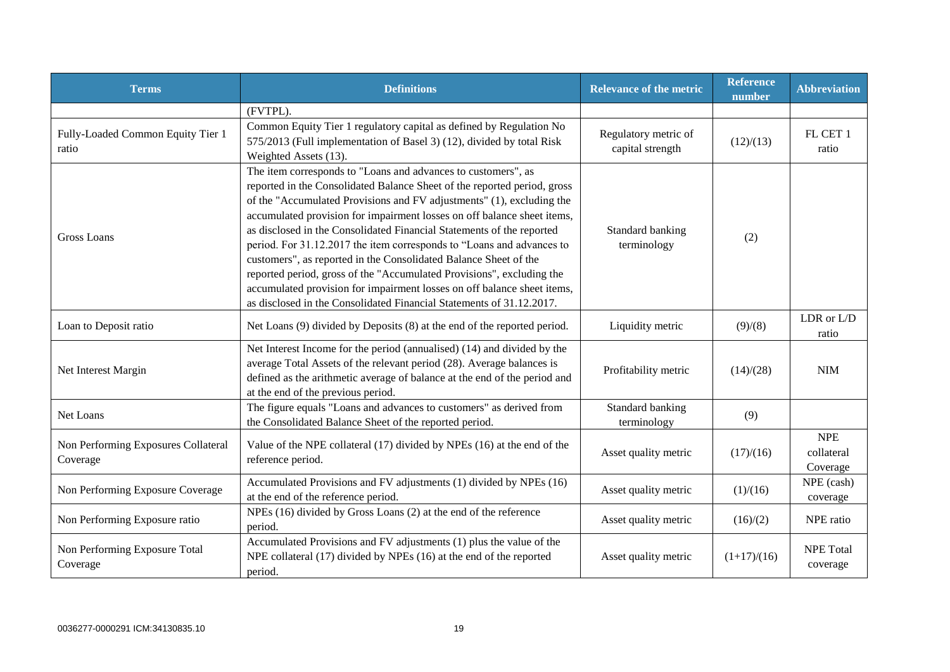| <b>Terms</b>                                    | <b>Definitions</b>                                                                                                                                                                                                                                                                                                                                                                                                                                                                                                                                                                                                                                                                                                                              | <b>Relevance of the metric</b>           | <b>Reference</b><br>number | <b>Abbreviation</b>                  |
|-------------------------------------------------|-------------------------------------------------------------------------------------------------------------------------------------------------------------------------------------------------------------------------------------------------------------------------------------------------------------------------------------------------------------------------------------------------------------------------------------------------------------------------------------------------------------------------------------------------------------------------------------------------------------------------------------------------------------------------------------------------------------------------------------------------|------------------------------------------|----------------------------|--------------------------------------|
|                                                 | (FVTPL).                                                                                                                                                                                                                                                                                                                                                                                                                                                                                                                                                                                                                                                                                                                                        |                                          |                            |                                      |
| Fully-Loaded Common Equity Tier 1<br>ratio      | Common Equity Tier 1 regulatory capital as defined by Regulation No<br>575/2013 (Full implementation of Basel 3) (12), divided by total Risk<br>Weighted Assets (13).                                                                                                                                                                                                                                                                                                                                                                                                                                                                                                                                                                           | Regulatory metric of<br>capital strength | (12)/(13)                  | FL CET 1<br>ratio                    |
| Gross Loans                                     | The item corresponds to "Loans and advances to customers", as<br>reported in the Consolidated Balance Sheet of the reported period, gross<br>of the "Accumulated Provisions and FV adjustments" (1), excluding the<br>accumulated provision for impairment losses on off balance sheet items,<br>as disclosed in the Consolidated Financial Statements of the reported<br>period. For 31.12.2017 the item corresponds to "Loans and advances to<br>customers", as reported in the Consolidated Balance Sheet of the<br>reported period, gross of the "Accumulated Provisions", excluding the<br>accumulated provision for impairment losses on off balance sheet items,<br>as disclosed in the Consolidated Financial Statements of 31.12.2017. | Standard banking<br>terminology          | (2)                        |                                      |
| Loan to Deposit ratio                           | Net Loans (9) divided by Deposits (8) at the end of the reported period.                                                                                                                                                                                                                                                                                                                                                                                                                                                                                                                                                                                                                                                                        | Liquidity metric                         | (9)/(8)                    | LDR or L/D<br>ratio                  |
| Net Interest Margin                             | Net Interest Income for the period (annualised) (14) and divided by the<br>average Total Assets of the relevant period (28). Average balances is<br>defined as the arithmetic average of balance at the end of the period and<br>at the end of the previous period.                                                                                                                                                                                                                                                                                                                                                                                                                                                                             | Profitability metric                     | (14)/(28)                  | <b>NIM</b>                           |
| Net Loans                                       | The figure equals "Loans and advances to customers" as derived from<br>the Consolidated Balance Sheet of the reported period.                                                                                                                                                                                                                                                                                                                                                                                                                                                                                                                                                                                                                   | Standard banking<br>terminology          | (9)                        |                                      |
| Non Performing Exposures Collateral<br>Coverage | Value of the NPE collateral (17) divided by NPEs (16) at the end of the<br>reference period.                                                                                                                                                                                                                                                                                                                                                                                                                                                                                                                                                                                                                                                    | Asset quality metric                     | (17)/(16)                  | <b>NPE</b><br>collateral<br>Coverage |
| Non Performing Exposure Coverage                | Accumulated Provisions and FV adjustments (1) divided by NPEs (16)<br>at the end of the reference period.                                                                                                                                                                                                                                                                                                                                                                                                                                                                                                                                                                                                                                       | Asset quality metric                     | (1)/(16)                   | NPE (cash)<br>coverage               |
| Non Performing Exposure ratio                   | NPEs (16) divided by Gross Loans (2) at the end of the reference<br>period.                                                                                                                                                                                                                                                                                                                                                                                                                                                                                                                                                                                                                                                                     | Asset quality metric                     | (16)/(2)                   | NPE ratio                            |
| Non Performing Exposure Total<br>Coverage       | Accumulated Provisions and FV adjustments (1) plus the value of the<br>NPE collateral (17) divided by NPEs (16) at the end of the reported<br>period.                                                                                                                                                                                                                                                                                                                                                                                                                                                                                                                                                                                           | Asset quality metric                     | $(1+17)/(16)$              | <b>NPE Total</b><br>coverage         |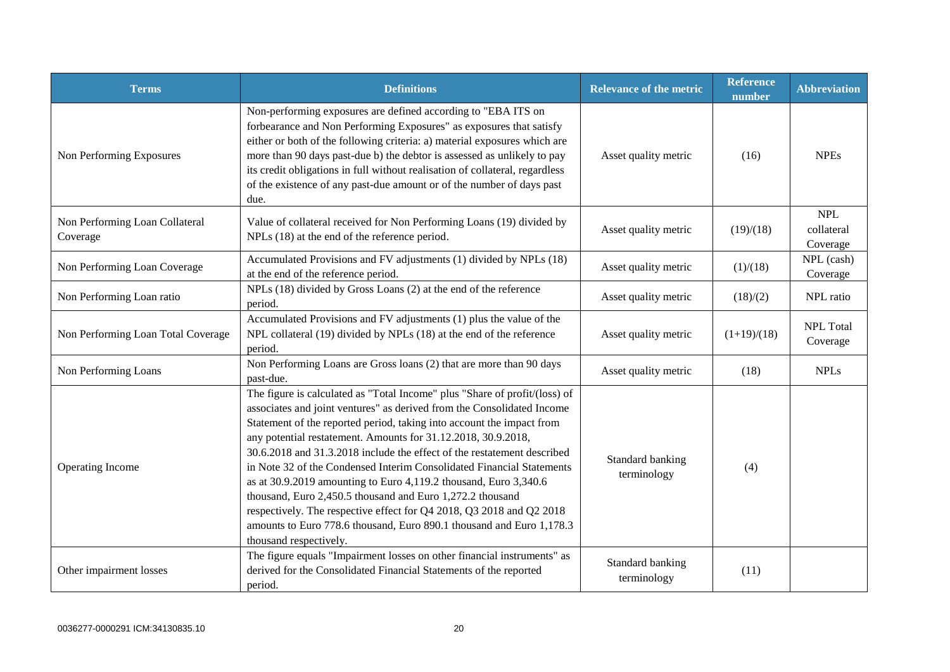| <b>Terms</b>                               | <b>Definitions</b>                                                                                                                                                                                                                                                                                                                                                                                                                                                                                                                                                                                                                                                                                                                                            | <b>Relevance of the metric</b>  | <b>Reference</b><br>number | <b>Abbreviation</b>                  |
|--------------------------------------------|---------------------------------------------------------------------------------------------------------------------------------------------------------------------------------------------------------------------------------------------------------------------------------------------------------------------------------------------------------------------------------------------------------------------------------------------------------------------------------------------------------------------------------------------------------------------------------------------------------------------------------------------------------------------------------------------------------------------------------------------------------------|---------------------------------|----------------------------|--------------------------------------|
| Non Performing Exposures                   | Non-performing exposures are defined according to "EBA ITS on<br>forbearance and Non Performing Exposures" as exposures that satisfy<br>either or both of the following criteria: a) material exposures which are<br>more than 90 days past-due b) the debtor is assessed as unlikely to pay<br>its credit obligations in full without realisation of collateral, regardless<br>of the existence of any past-due amount or of the number of days past<br>due.                                                                                                                                                                                                                                                                                                 | Asset quality metric            | (16)                       | <b>NPEs</b>                          |
| Non Performing Loan Collateral<br>Coverage | Value of collateral received for Non Performing Loans (19) divided by<br>NPLs (18) at the end of the reference period.                                                                                                                                                                                                                                                                                                                                                                                                                                                                                                                                                                                                                                        | Asset quality metric            | (19)/(18)                  | <b>NPL</b><br>collateral<br>Coverage |
| Non Performing Loan Coverage               | Accumulated Provisions and FV adjustments (1) divided by NPLs (18)<br>at the end of the reference period.                                                                                                                                                                                                                                                                                                                                                                                                                                                                                                                                                                                                                                                     | Asset quality metric            | (1)/(18)                   | NPL (cash)<br>Coverage               |
| Non Performing Loan ratio                  | NPLs (18) divided by Gross Loans (2) at the end of the reference<br>period.                                                                                                                                                                                                                                                                                                                                                                                                                                                                                                                                                                                                                                                                                   | Asset quality metric            | (18)/(2)                   | NPL ratio                            |
| Non Performing Loan Total Coverage         | Accumulated Provisions and FV adjustments (1) plus the value of the<br>NPL collateral (19) divided by NPLs (18) at the end of the reference<br>period.                                                                                                                                                                                                                                                                                                                                                                                                                                                                                                                                                                                                        | Asset quality metric            | $(1+19)/(18)$              | <b>NPL</b> Total<br>Coverage         |
| Non Performing Loans                       | Non Performing Loans are Gross loans (2) that are more than 90 days<br>past-due.                                                                                                                                                                                                                                                                                                                                                                                                                                                                                                                                                                                                                                                                              | Asset quality metric            | (18)                       | <b>NPLs</b>                          |
| Operating Income                           | The figure is calculated as "Total Income" plus "Share of profit/(loss) of<br>associates and joint ventures" as derived from the Consolidated Income<br>Statement of the reported period, taking into account the impact from<br>any potential restatement. Amounts for 31.12.2018, 30.9.2018,<br>30.6.2018 and 31.3.2018 include the effect of the restatement described<br>in Note 32 of the Condensed Interim Consolidated Financial Statements<br>as at 30.9.2019 amounting to Euro 4,119.2 thousand, Euro 3,340.6<br>thousand, Euro 2,450.5 thousand and Euro 1,272.2 thousand<br>respectively. The respective effect for Q4 2018, Q3 2018 and Q2 2018<br>amounts to Euro 778.6 thousand, Euro 890.1 thousand and Euro 1,178.3<br>thousand respectively. | Standard banking<br>terminology | (4)                        |                                      |
| Other impairment losses                    | The figure equals "Impairment losses on other financial instruments" as<br>derived for the Consolidated Financial Statements of the reported<br>period.                                                                                                                                                                                                                                                                                                                                                                                                                                                                                                                                                                                                       | Standard banking<br>terminology | (11)                       |                                      |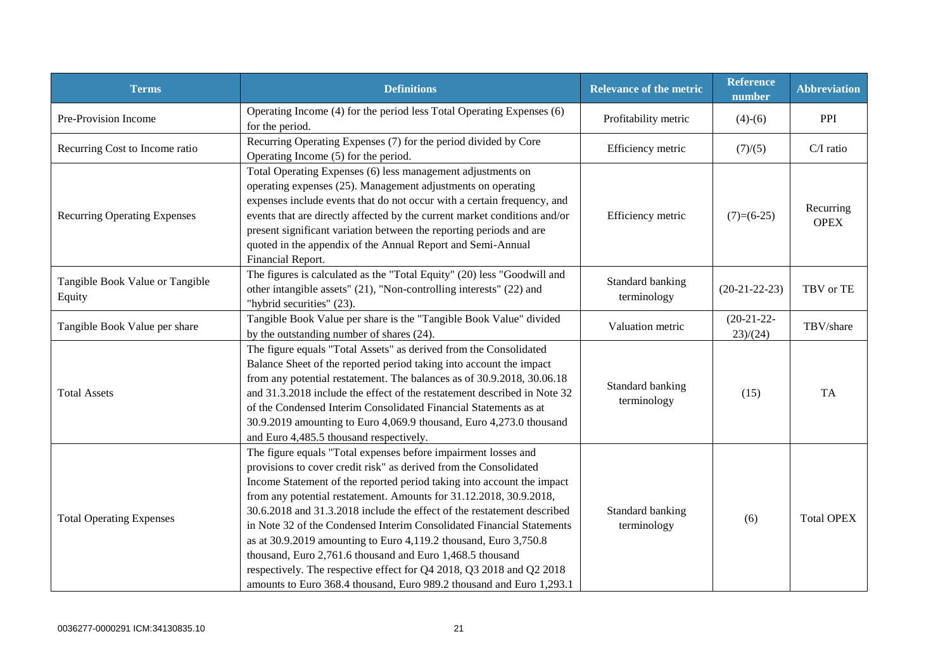| <b>Terms</b>                              | <b>Definitions</b>                                                                                                                                                                                                                                                                                                                                                                                                                                                                                                                                                                                                                                                                                                       | <b>Relevance of the metric</b>  | <b>Reference</b><br>number | <b>Abbreviation</b>      |
|-------------------------------------------|--------------------------------------------------------------------------------------------------------------------------------------------------------------------------------------------------------------------------------------------------------------------------------------------------------------------------------------------------------------------------------------------------------------------------------------------------------------------------------------------------------------------------------------------------------------------------------------------------------------------------------------------------------------------------------------------------------------------------|---------------------------------|----------------------------|--------------------------|
| Pre-Provision Income                      | Operating Income (4) for the period less Total Operating Expenses (6)<br>for the period.                                                                                                                                                                                                                                                                                                                                                                                                                                                                                                                                                                                                                                 | Profitability metric            | $(4)-(6)$                  | PPI                      |
| Recurring Cost to Income ratio            | Recurring Operating Expenses (7) for the period divided by Core<br>Operating Income (5) for the period.                                                                                                                                                                                                                                                                                                                                                                                                                                                                                                                                                                                                                  | Efficiency metric               | (7)/(5)                    | $C/I$ ratio              |
| <b>Recurring Operating Expenses</b>       | Total Operating Expenses (6) less management adjustments on<br>operating expenses (25). Management adjustments on operating<br>expenses include events that do not occur with a certain frequency, and<br>events that are directly affected by the current market conditions and/or<br>present significant variation between the reporting periods and are<br>quoted in the appendix of the Annual Report and Semi-Annual<br>Financial Report.                                                                                                                                                                                                                                                                           | Efficiency metric               | $(7)=(6-25)$               | Recurring<br><b>OPEX</b> |
| Tangible Book Value or Tangible<br>Equity | The figures is calculated as the "Total Equity" (20) less "Goodwill and<br>other intangible assets" (21), "Non-controlling interests" (22) and<br>"hybrid securities" (23).                                                                                                                                                                                                                                                                                                                                                                                                                                                                                                                                              | Standard banking<br>terminology | $(20-21-22-23)$            | TBV or TE                |
| Tangible Book Value per share             | Tangible Book Value per share is the "Tangible Book Value" divided<br>by the outstanding number of shares (24).                                                                                                                                                                                                                                                                                                                                                                                                                                                                                                                                                                                                          | Valuation metric                | $(20-21-22-$<br>23)/(24)   | TBV/share                |
| <b>Total Assets</b>                       | The figure equals "Total Assets" as derived from the Consolidated<br>Balance Sheet of the reported period taking into account the impact<br>from any potential restatement. The balances as of 30.9.2018, 30.06.18<br>and 31.3.2018 include the effect of the restatement described in Note 32<br>of the Condensed Interim Consolidated Financial Statements as at<br>30.9.2019 amounting to Euro 4,069.9 thousand, Euro 4,273.0 thousand<br>and Euro 4,485.5 thousand respectively.                                                                                                                                                                                                                                     | Standard banking<br>terminology | (15)                       | <b>TA</b>                |
| <b>Total Operating Expenses</b>           | The figure equals "Total expenses before impairment losses and<br>provisions to cover credit risk" as derived from the Consolidated<br>Income Statement of the reported period taking into account the impact<br>from any potential restatement. Amounts for 31.12.2018, 30.9.2018,<br>30.6.2018 and 31.3.2018 include the effect of the restatement described<br>in Note 32 of the Condensed Interim Consolidated Financial Statements<br>as at 30.9.2019 amounting to Euro 4,119.2 thousand, Euro 3,750.8<br>thousand, Euro 2,761.6 thousand and Euro 1,468.5 thousand<br>respectively. The respective effect for Q4 2018, Q3 2018 and Q2 2018<br>amounts to Euro 368.4 thousand, Euro 989.2 thousand and Euro 1,293.1 | Standard banking<br>terminology | (6)                        | <b>Total OPEX</b>        |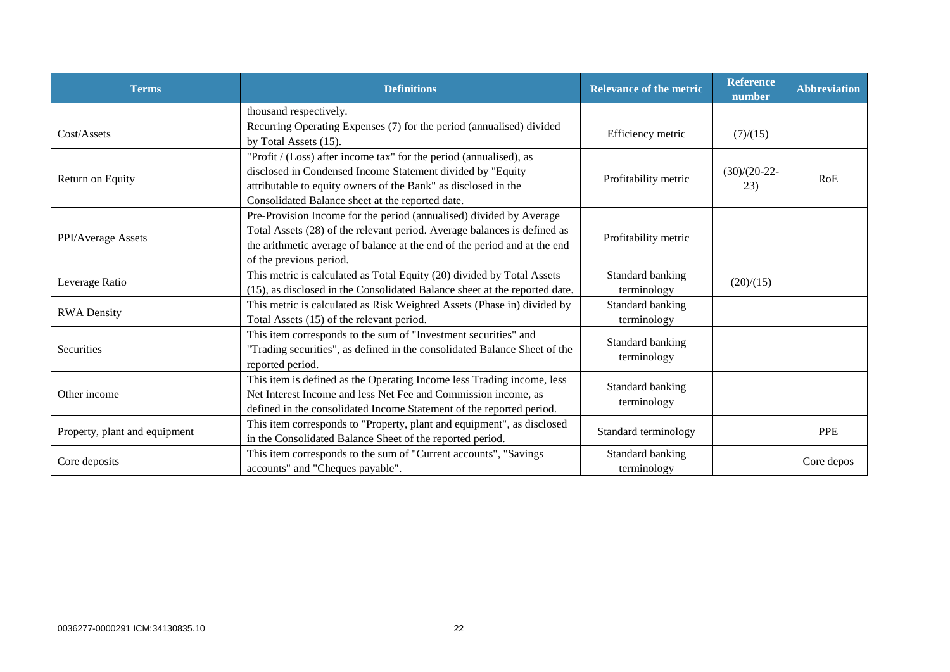| <b>Terms</b>                  | <b>Definitions</b>                                                                                                                                                                                                                                      | <b>Relevance of the metric</b>  | <b>Reference</b><br>number | <b>Abbreviation</b> |
|-------------------------------|---------------------------------------------------------------------------------------------------------------------------------------------------------------------------------------------------------------------------------------------------------|---------------------------------|----------------------------|---------------------|
|                               | thousand respectively.                                                                                                                                                                                                                                  |                                 |                            |                     |
| Cost/Assets                   | Recurring Operating Expenses (7) for the period (annualised) divided<br>by Total Assets (15).                                                                                                                                                           | Efficiency metric               | (7)/(15)                   |                     |
| Return on Equity              | "Profit / (Loss) after income tax" for the period (annualised), as<br>disclosed in Condensed Income Statement divided by "Equity<br>attributable to equity owners of the Bank" as disclosed in the<br>Consolidated Balance sheet at the reported date.  | Profitability metric            | $(30)/(20-22-$<br>23)      | RoE                 |
| PPI/Average Assets            | Pre-Provision Income for the period (annualised) divided by Average<br>Total Assets (28) of the relevant period. Average balances is defined as<br>the arithmetic average of balance at the end of the period and at the end<br>of the previous period. | Profitability metric            |                            |                     |
| Leverage Ratio                | This metric is calculated as Total Equity (20) divided by Total Assets<br>(15), as disclosed in the Consolidated Balance sheet at the reported date.                                                                                                    | Standard banking<br>terminology | (20)/(15)                  |                     |
| <b>RWA Density</b>            | This metric is calculated as Risk Weighted Assets (Phase in) divided by<br>Total Assets (15) of the relevant period.                                                                                                                                    | Standard banking<br>terminology |                            |                     |
| Securities                    | This item corresponds to the sum of "Investment securities" and<br>"Trading securities", as defined in the consolidated Balance Sheet of the<br>reported period.                                                                                        | Standard banking<br>terminology |                            |                     |
| Other income                  | This item is defined as the Operating Income less Trading income, less<br>Net Interest Income and less Net Fee and Commission income, as<br>defined in the consolidated Income Statement of the reported period.                                        | Standard banking<br>terminology |                            |                     |
| Property, plant and equipment | This item corresponds to "Property, plant and equipment", as disclosed<br>in the Consolidated Balance Sheet of the reported period.                                                                                                                     | Standard terminology            |                            | <b>PPE</b>          |
| Core deposits                 | This item corresponds to the sum of "Current accounts", "Savings<br>accounts" and "Cheques payable".                                                                                                                                                    | Standard banking<br>terminology |                            | Core depos          |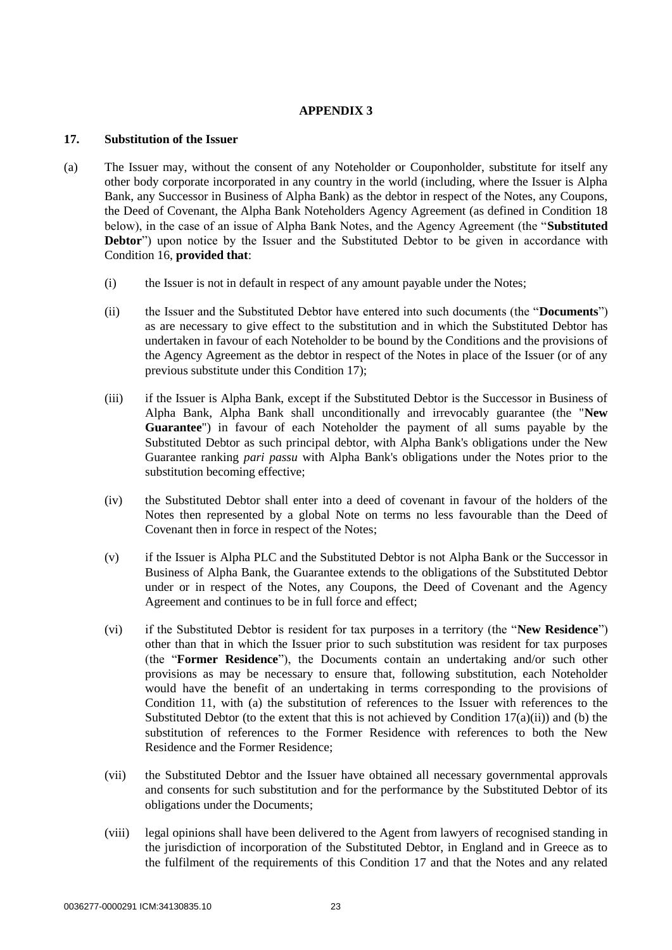# **APPENDIX 3**

# **17. Substitution of the Issuer**

- (a) The Issuer may, without the consent of any Noteholder or Couponholder, substitute for itself any other body corporate incorporated in any country in the world (including, where the Issuer is Alpha Bank, any Successor in Business of Alpha Bank) as the debtor in respect of the Notes, any Coupons, the Deed of Covenant, the Alpha Bank Noteholders Agency Agreement (as defined in Condition 18 below), in the case of an issue of Alpha Bank Notes, and the Agency Agreement (the "**Substituted Debtor**") upon notice by the Issuer and the Substituted Debtor to be given in accordance with Condition 16, **provided that**:
	- (i) the Issuer is not in default in respect of any amount payable under the Notes;
	- (ii) the Issuer and the Substituted Debtor have entered into such documents (the "**Documents**") as are necessary to give effect to the substitution and in which the Substituted Debtor has undertaken in favour of each Noteholder to be bound by the Conditions and the provisions of the Agency Agreement as the debtor in respect of the Notes in place of the Issuer (or of any previous substitute under this Condition 17);
	- (iii) if the Issuer is Alpha Bank, except if the Substituted Debtor is the Successor in Business of Alpha Bank, Alpha Bank shall unconditionally and irrevocably guarantee (the "**New Guarantee**") in favour of each Noteholder the payment of all sums payable by the Substituted Debtor as such principal debtor, with Alpha Bank's obligations under the New Guarantee ranking *pari passu* with Alpha Bank's obligations under the Notes prior to the substitution becoming effective;
	- (iv) the Substituted Debtor shall enter into a deed of covenant in favour of the holders of the Notes then represented by a global Note on terms no less favourable than the Deed of Covenant then in force in respect of the Notes;
	- (v) if the Issuer is Alpha PLC and the Substituted Debtor is not Alpha Bank or the Successor in Business of Alpha Bank, the Guarantee extends to the obligations of the Substituted Debtor under or in respect of the Notes, any Coupons, the Deed of Covenant and the Agency Agreement and continues to be in full force and effect;
	- (vi) if the Substituted Debtor is resident for tax purposes in a territory (the "**New Residence**") other than that in which the Issuer prior to such substitution was resident for tax purposes (the "**Former Residence**"), the Documents contain an undertaking and/or such other provisions as may be necessary to ensure that, following substitution, each Noteholder would have the benefit of an undertaking in terms corresponding to the provisions of Condition 11, with (a) the substitution of references to the Issuer with references to the Substituted Debtor (to the extent that this is not achieved by Condition  $17(a)(ii)$ ) and (b) the substitution of references to the Former Residence with references to both the New Residence and the Former Residence;
	- (vii) the Substituted Debtor and the Issuer have obtained all necessary governmental approvals and consents for such substitution and for the performance by the Substituted Debtor of its obligations under the Documents;
	- (viii) legal opinions shall have been delivered to the Agent from lawyers of recognised standing in the jurisdiction of incorporation of the Substituted Debtor, in England and in Greece as to the fulfilment of the requirements of this Condition 17 and that the Notes and any related